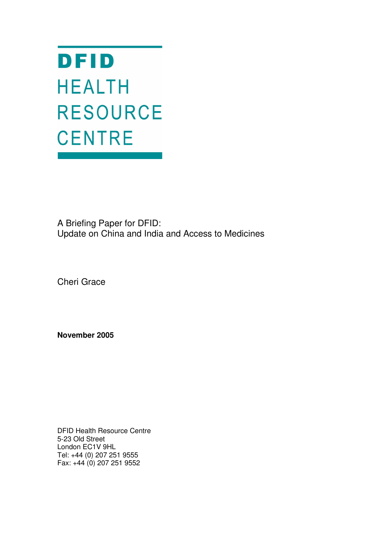DFID **HEALTH RESOURCE CENTRE** 

A Briefing Paper for DFID: Update on China and India and Access to Medicines

Cheri Grace

**November 2005**

DFID Health Resource Centre 5-23 Old Street London EC1V 9HL Tel: +44 (0) 207 251 9555 Fax: +44 (0) 207 251 9552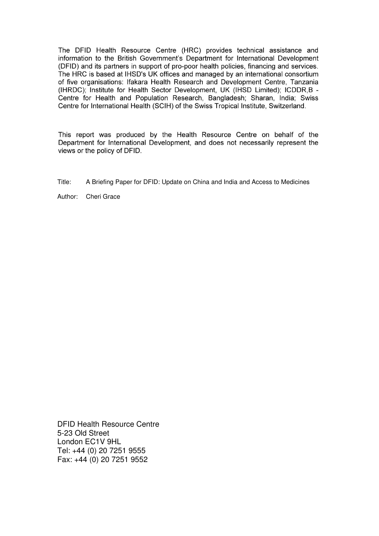The DFID Health Resource Centre (HRC) provides technical assistance and information to the British Government's Department for International Development (DFID) and its partners in support of pro-poor health policies, financing and services. The HRC is based at IHSD's UK offices and managed by an international consortium of five organisations: Ifakara Health Research and Development Centre. Tanzania (IHRDC); Institute for Health Sector Development, UK (IHSD Limited); ICDDR,B -Centre for Health and Population Research, Bangladesh; Sharan, India; Swiss Centre for International Health (SCIH) of the Swiss Tropical Institute, Switzerland.

This report was produced by the Health Resource Centre on behalf of the Department for International Development, and does not necessarily represent the views or the policy of DFID.

Title: A Briefing Paper for DFID: Update on China and India and Access to Medicines

Author: Cheri Grace

DFID Health Resource Centre 5-23 Old Street London EC1V 9HL Tel: +44 (0) 20 7251 9555 Fax: +44 (0) 20 7251 9552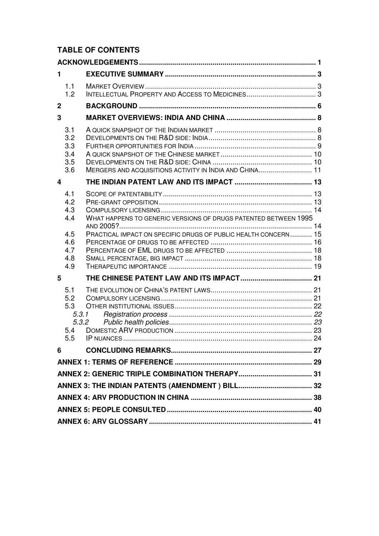## **TABLE OF CONTENTS**

| 1              |                                          |                                                                 |  |
|----------------|------------------------------------------|-----------------------------------------------------------------|--|
|                | 1.1<br>1.2                               |                                                                 |  |
| $\overline{2}$ |                                          |                                                                 |  |
| 3              |                                          |                                                                 |  |
|                | 3.1<br>3.2<br>3.3<br>3.4<br>3.5<br>3.6   | MERGERS AND ACQUISITIONS ACTIVITY IN INDIA AND CHINA 11         |  |
| 4              |                                          |                                                                 |  |
|                | 4.1<br>4.2<br>4.3<br>4.4                 | WHAT HAPPENS TO GENERIC VERSIONS OF DRUGS PATENTED BETWEEN 1995 |  |
|                | 4.5<br>4.6<br>4.7<br>4.8<br>4.9          | PRACTICAL IMPACT ON SPECIFIC DRUGS OF PUBLIC HEALTH CONCERN 15  |  |
| 5              |                                          |                                                                 |  |
|                | 5.1<br>5.2<br>5.3<br>5.3.1<br>5.4<br>5.5 | 5.3.2                                                           |  |
| 6              |                                          |                                                                 |  |
|                |                                          |                                                                 |  |
|                |                                          |                                                                 |  |
|                |                                          |                                                                 |  |
|                |                                          |                                                                 |  |
|                |                                          |                                                                 |  |
|                |                                          |                                                                 |  |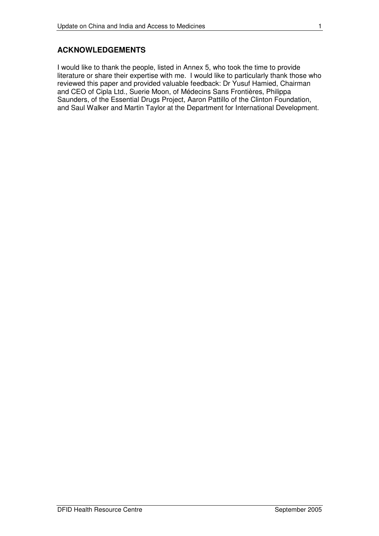#### **ACKNOWLEDGEMENTS**

I would like to thank the people, listed in Annex 5, who took the time to provide literature or share their expertise with me. I would like to particularly thank those who reviewed this paper and provided valuable feedback: Dr Yusuf Hamied, Chairman and CEO of Cipla Ltd., Suerie Moon, of Médecins Sans Frontières, Philippa Saunders, of the Essential Drugs Project, Aaron Pattillo of the Clinton Foundation, and Saul Walker and Martin Taylor at the Department for International Development.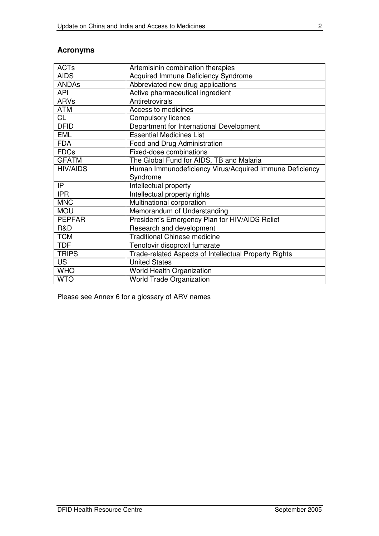## **Acronyms**

| <b>ACTs</b>     | Artemisinin combination therapies                       |
|-----------------|---------------------------------------------------------|
| <b>AIDS</b>     | Acquired Immune Deficiency Syndrome                     |
| <b>ANDAs</b>    | Abbreviated new drug applications                       |
| <b>API</b>      | Active pharmaceutical ingredient                        |
| <b>ARVs</b>     | Antiretrovirals                                         |
| <b>ATM</b>      | Access to medicines                                     |
| CL              | Compulsory licence                                      |
| <b>DFID</b>     | Department for International Development                |
| <b>EML</b>      | <b>Essential Medicines List</b>                         |
| <b>FDA</b>      | Food and Drug Administration                            |
| <b>FDCs</b>     | Fixed-dose combinations                                 |
| <b>GFATM</b>    | The Global Fund for AIDS, TB and Malaria                |
| <b>HIV/AIDS</b> | Human Immunodeficiency Virus/Acquired Immune Deficiency |
|                 | Syndrome                                                |
| IP              | <b>Intellectual property</b>                            |
| <b>IPR</b>      | Intellectual property rights                            |
| <b>MNC</b>      | Multinational corporation                               |
| <b>MOU</b>      | Memorandum of Understanding                             |
| <b>PEPFAR</b>   | President's Emergency Plan for HIV/AIDS Relief          |
| R&D             | Research and development                                |
| <b>TCM</b>      |                                                         |
|                 | <b>Traditional Chinese medicine</b>                     |
| <b>TDF</b>      | Tenofovir disoproxil fumarate                           |
| <b>TRIPS</b>    | Trade-related Aspects of Intellectual Property Rights   |
| <b>US</b>       | <b>United States</b>                                    |
| <b>WHO</b>      | World Health Organization                               |

Please see Annex 6 for a glossary of ARV names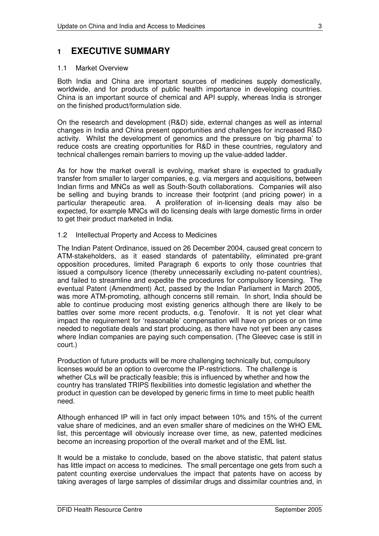## **1 EXECUTIVE SUMMARY**

#### 1.1 Market Overview

Both India and China are important sources of medicines supply domestically, worldwide, and for products of public health importance in developing countries. China is an important source of chemical and API supply, whereas India is stronger on the finished product/formulation side.

On the research and development (R&D) side, external changes as well as internal changes in India and China present opportunities and challenges for increased R&D activity. Whilst the development of genomics and the pressure on 'big pharma' to reduce costs are creating opportunities for R&D in these countries, regulatory and technical challenges remain barriers to moving up the value-added ladder.

As for how the market overall is evolving, market share is expected to gradually transfer from smaller to larger companies, e.g. via mergers and acquisitions, between Indian firms and MNCs as well as South-South collaborations. Companies will also be selling and buying brands to increase their footprint (and pricing power) in a particular therapeutic area. A proliferation of in-licensing deals may also be expected, for example MNCs will do licensing deals with large domestic firms in order to get their product marketed in India.

#### 1.2 Intellectual Property and Access to Medicines

The Indian Patent Ordinance, issued on 26 December 2004, caused great concern to ATM-stakeholders, as it eased standards of patentability, eliminated pre-grant opposition procedures, limited Paragraph 6 exports to only those countries that issued a compulsory licence (thereby unnecessarily excluding no-patent countries), and failed to streamline and expedite the procedures for compulsory licensing. The eventual Patent (Amendment) Act, passed by the Indian Parliament in March 2005, was more ATM-promoting, although concerns still remain. In short, India should be able to continue producing most existing generics although there are likely to be battles over some more recent products, e.g. Tenofovir. It is not yet clear what impact the requirement for 'reasonable' compensation will have on prices or on time needed to negotiate deals and start producing, as there have not yet been any cases where Indian companies are paying such compensation. (The Gleevec case is still in court.)

Production of future products will be more challenging technically but, compulsory licenses would be an option to overcome the IP-restrictions. The challenge is whether CLs will be practically feasible; this is influenced by whether and how the country has translated TRIPS flexibilities into domestic legislation and whether the product in question can be developed by generic firms in time to meet public health need.

Although enhanced IP will in fact only impact between 10% and 15% of the current value share of medicines, and an even smaller share of medicines on the WHO EML list, this percentage will obviously increase over time, as new, patented medicines become an increasing proportion of the overall market and of the EML list.

It would be a mistake to conclude, based on the above statistic, that patent status has little impact on access to medicines. The small percentage one gets from such a patent counting exercise undervalues the impact that patents have on access by taking averages of large samples of dissimilar drugs and dissimilar countries and, in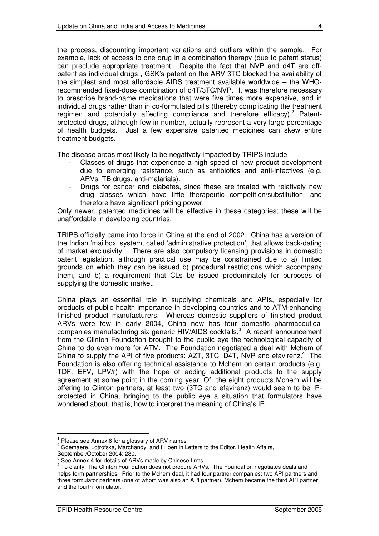the process, discounting important variations and outliers within the sample. For example, lack of access to one drug in a combination therapy (due to patent status) can preclude appropriate treatment. Despite the fact that NVP and d4T are offpatent as individual drugs<sup>1</sup>, GSK's patent on the ARV 3TC blocked the availability of the simplest and most affordable AIDS treatment available worldwide – the WHOrecommended fixed-dose combination of d4T/3TC/NVP. It was therefore necessary to prescribe brand-name medications that were five times more expensive, and in individual drugs rather than in co-formulated pills (thereby complicating the treatment regimen and potentially affecting compliance and therefore efficacy).<sup>2</sup> Patentprotected drugs, although few in number, actually represent a very large percentage of health budgets. Just a few expensive patented medicines can skew entire treatment budgets.

The disease areas most likely to be negatively impacted by TRIPS include

- Classes of drugs that experience a high speed of new product development due to emerging resistance, such as antibiotics and anti-infectives (e.g. ARVs, TB drugs, anti-malarials).
- Drugs for cancer and diabetes, since these are treated with relatively new drug classes which have little therapeutic competition/substitution, and therefore have significant pricing power.

Only newer, patented medicines will be effective in these categories; these will be unaffordable in developing countries.

TRIPS officially came into force in China at the end of 2002. China has a version of the Indian 'mailbox' system, called 'administrative protection', that allows back-dating of market exclusivity. There are also compulsory licensing provisions in domestic patent legislation, although practical use may be constrained due to a) limited grounds on which they can be issued b) procedural restrictions which accompany them, and b) a requirement that CLs be issued predominately for purposes of supplying the domestic market.

China plays an essential role in supplying chemicals and APIs, especially for products of public health importance in developing countries and to ATM-enhancing finished product manufacturers. Whereas domestic suppliers of finished product ARVs were few in early 2004, China now has four domestic pharmaceutical companies manufacturing six generic HIV/AIDS cocktails.<sup>3</sup> A recent announcement from the Clinton Foundation brought to the public eye the technological capacity of China to do even more for ATM. The Foundation negotiated a deal with Mchem of China to supply the API of five products: AZT, 3TC, D4T, NVP and efavirenz.<sup>4</sup> The Foundation is also offering technical assistance to Mchem on certain products (e.g. TDF, EFV, LPV/r) with the hope of adding additional products to the supply agreement at some point in the coming year. Of the eight products Mchem will be offering to Clinton partners, at least two (3TC and efavirenz) would seem to be IPprotected in China, bringing to the public eye a situation that formulators have wondered about, that is, how to interpret the meaning of China's IP.

<sup>&</sup>lt;sup>1</sup> Please see Annex 6 for a glossary of ARV names

<sup>&</sup>lt;sup>2</sup> Goemaere, Lotrofska, Marchandy, and t'Hoen in Letters to the Editor, Health Affairs,

September/October 2004: 280. 3 See Annex 4 for details of ARVs made by Chinese firms.

<sup>&</sup>lt;sup>4</sup> To clarify, The Clinton Foundation does not procure ARVs. The Foundation negotiates deals and helps form partnerships. Prior to the Mchem deal, it had four partner companies: two API partners and three formulator partners (one of whom was also an API partner). Mchem became the third API partner and the fourth formulator.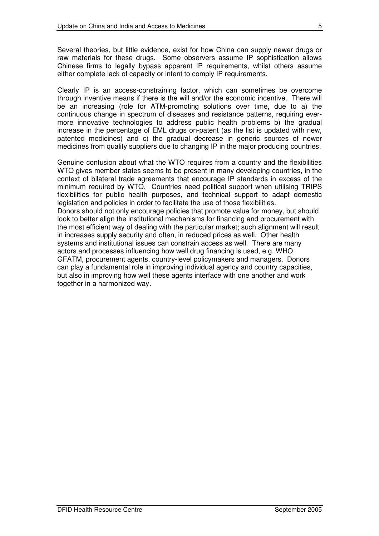Several theories, but little evidence, exist for how China can supply newer drugs or raw materials for these drugs. Some observers assume IP sophistication allows Chinese firms to legally bypass apparent IP requirements, whilst others assume either complete lack of capacity or intent to comply IP requirements.

Clearly IP is an access-constraining factor, which can sometimes be overcome through inventive means if there is the will and/or the economic incentive. There will be an increasing (role for ATM-promoting solutions over time, due to a) the continuous change in spectrum of diseases and resistance patterns, requiring evermore innovative technologies to address public health problems b) the gradual increase in the percentage of EML drugs on-patent (as the list is updated with new, patented medicines) and c) the gradual decrease in generic sources of newer medicines from quality suppliers due to changing IP in the major producing countries.

Genuine confusion about what the WTO requires from a country and the flexibilities WTO gives member states seems to be present in many developing countries, in the context of bilateral trade agreements that encourage IP standards in excess of the minimum required by WTO. Countries need political support when utilising TRIPS flexibilities for public health purposes, and technical support to adapt domestic legislation and policies in order to facilitate the use of those flexibilities. Donors should not only encourage policies that promote value for money, but should look to better align the institutional mechanisms for financing and procurement with the most efficient way of dealing with the particular market; such alignment will result in increases supply security and often, in reduced prices as well. Other health systems and institutional issues can constrain access as well. There are many actors and processes influencing how well drug financing is used, e.g. WHO, GFATM, procurement agents, country-level policymakers and managers. Donors can play a fundamental role in improving individual agency and country capacities, but also in improving how well these agents interface with one another and work together in a harmonized way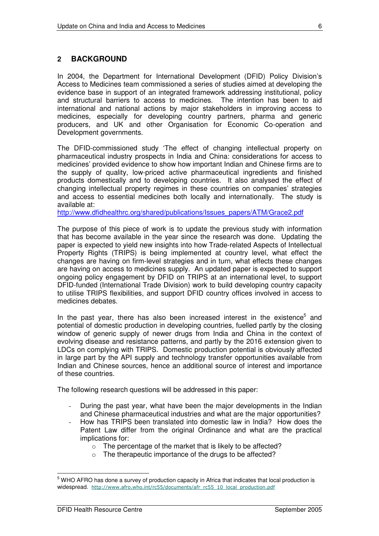In 2004, the Department for International Development (DFID) Policy Division's Access to Medicines team commissioned a series of studies aimed at developing the evidence base in support of an integrated framework addressing institutional, policy and structural barriers to access to medicines. The intention has been to aid international and national actions by major stakeholders in improving access to medicines, especially for developing country partners, pharma and generic producers, and UK and other Organisation for Economic Co-operation and Development governments.

The DFID-commissioned study 'The effect of changing intellectual property on pharmaceutical industry prospects in India and China: considerations for access to medicines' provided evidence to show how important Indian and Chinese firms are to the supply of quality, low-priced active pharmaceutical ingredients and finished products domestically and to developing countries. It also analysed the effect of changing intellectual property regimes in these countries on companies' strategies and access to essential medicines both locally and internationally. The study is available at:

http://www.dfidhealthrc.org/shared/publications/Issues\_papers/ATM/Grace2.pdf

The purpose of this piece of work is to update the previous study with information that has become available in the year since the research was done. Updating the paper is expected to yield new insights into how Trade-related Aspects of Intellectual Property Rights (TRIPS) is being implemented at country level, what effect the changes are having on firm-level strategies and in turn, what effects these changes are having on access to medicines supply. An updated paper is expected to support ongoing policy engagement by DFID on TRIPS at an international level, to support DFID-funded (International Trade Division) work to build developing country capacity to utilise TRIPS flexibilities, and support DFID country offices involved in access to medicines debates.

In the past year, there has also been increased interest in the existence<sup>5</sup> and potential of domestic production in developing countries, fuelled partly by the closing window of generic supply of newer drugs from India and China in the context of evolving disease and resistance patterns, and partly by the 2016 extension given to LDCs on complying with TRIPS. Domestic production potential is obviously affected in large part by the API supply and technology transfer opportunities available from Indian and Chinese sources, hence an additional source of interest and importance of these countries.

The following research questions will be addressed in this paper:

- During the past year, what have been the major developments in the Indian and Chinese pharmaceutical industries and what are the major opportunities?
- How has TRIPS been translated into domestic law in India? How does the Patent Law differ from the original Ordinance and what are the practical implications for:
	- o The percentage of the market that is likely to be affected?
	- o The therapeutic importance of the drugs to be affected?

<sup>&</sup>lt;sup>5</sup> WHO AFRO has done a survey of production capacity in Africa that indicates that local production is widespread. http://www.afro.who.int/rc55/documents/afr rc55 10 local production.pdf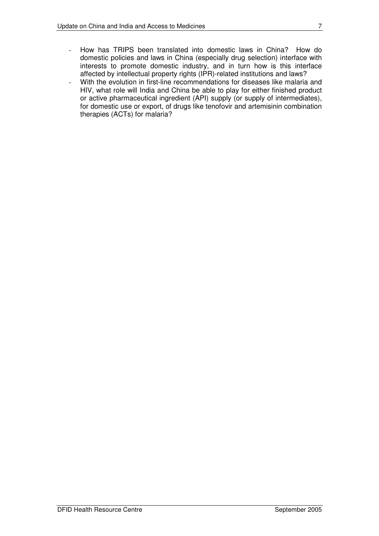- How has TRIPS been translated into domestic laws in China? How do domestic policies and laws in China (especially drug selection) interface with interests to promote domestic industry, and in turn how is this interface affected by intellectual property rights (IPR)-related institutions and laws?
- With the evolution in first-line recommendations for diseases like malaria and HIV, what role will India and China be able to play for either finished product or active pharmaceutical ingredient (API) supply (or supply of intermediates), for domestic use or export, of drugs like tenofovir and artemisinin combination therapies (ACTs) for malaria?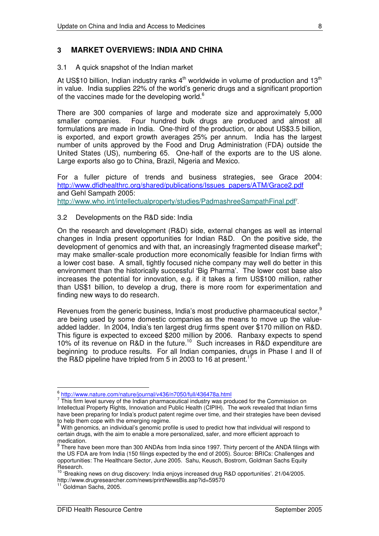#### **3 MARKET OVERVIEWS: INDIA AND CHINA**

#### 3.1 A quick snapshot of the Indian market

At US\$10 billion, Indian industry ranks 4<sup>th</sup> worldwide in volume of production and 13<sup>th</sup> in value. India supplies 22% of the world's generic drugs and a significant proportion of the vaccines made for the developing world. $^6$ 

There are 300 companies of large and moderate size and approximately 5,000 smaller companies. Four hundred bulk drugs are produced and almost all formulations are made in India. One-third of the production, or about US\$3.5 billion, is exported, and export growth averages 25% per annum. India has the largest number of units approved by the Food and Drug Administration (FDA) outside the United States (US), numbering 65. One-half of the exports are to the US alone. Large exports also go to China, Brazil, Nigeria and Mexico.

For a fuller picture of trends and business strategies, see Grace 2004: http://www.dfidhealthrc.org/shared/publications/Issues\_papers/ATM/Grace2.pdf and Gehl Sampath 2005: http://www.who.int/intellectualproperty/studies/PadmashreeSampathFinal.pdf<sup>7</sup>.

#### 3.2 Developments on the R&D side: India

On the research and development (R&D) side, external changes as well as internal changes in India present opportunities for Indian R&D. On the positive side, the development of genomics and with that, an increasingly fragmented disease market<sup>8</sup>; may make smaller-scale production more economically feasible for Indian firms with a lower cost base. A small, tightly focused niche company may well do better in this environment than the historically successful 'Big Pharma'. The lower cost base also increases the potential for innovation, e.g. if it takes a firm US\$100 million, rather than US\$1 billion, to develop a drug, there is more room for experimentation and finding new ways to do research.

Revenues from the generic business, India's most productive pharmaceutical sector,<sup>9</sup> are being used by some domestic companies as the means to move up the valueadded ladder. In 2004, India's ten largest drug firms spent over \$170 million on R&D. This figure is expected to exceed \$200 million by 2006. Ranbaxy expects to spend 10% of its revenue on R&D in the future.<sup>10</sup> Such increases in R&D expenditure are beginning to produce results. For all Indian companies, drugs in Phase I and II of the R&D pipeline have tripled from 5 in 2003 to 16 at present.<sup>11</sup>

<sup>6</sup> http://www.nature.com/nature/journal/v436/n7050/full/436478a.html

 $7$  This firm level survey of the Indian pharmaceutical industry was produced for the Commission on Intellectual Property Rights, Innovation and Public Health (CIPIH). The work revealed that Indian firms have been preparing for India's product patent regime over time, and their strategies have been devised to help them cope with the emerging regime.

<sup>&</sup>lt;sup>8</sup> With genomics, an individual's genomic profile is used to predict how that individual will respond to certain drugs, with the aim to enable a more personalized, safer, and more efficient approach to medication.<br><sup>9</sup> There bay

There have been more than 300 ANDAs from India since 1997. Thirty percent of the ANDA filings with the US FDA are from India (150 filings expected by the end of 2005). Source: BRICs: Challenges and opportunities: The Healthcare Sector, June 2005. Sahu, Keusch, Bostrom, Goldman Sachs Equity Research.

<sup>&</sup>lt;sup>10</sup> 'Breaking news on drug discovery: India enjoys increased drug R&D opportunities'. 21/04/2005. http://www.drugresearcher.com/news/printNewsBis.asp?id=59570

 $^1$  Goldman Sachs, 2005.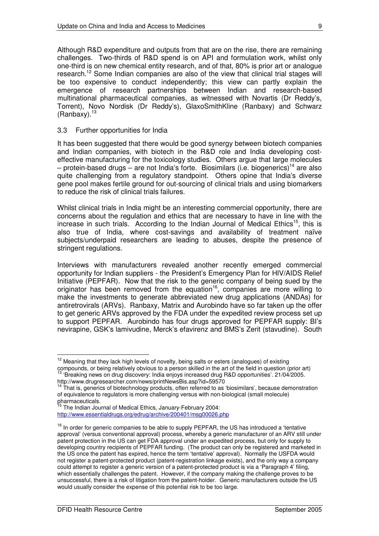Although R&D expenditure and outputs from that are on the rise, there are remaining challenges. Two-thirds of R&D spend is on API and formulation work, whilst only one-third is on new chemical entity research, and of that, 80% is prior art or analogue research.<sup>12</sup> Some Indian companies are also of the view that clinical trial stages will be too expensive to conduct independently; this view can partly explain the emergence of research partnerships between Indian and research-based multinational pharmaceutical companies, as witnessed with Novartis (Dr Reddy's, Torrent), Novo Nordisk (Dr Reddy's), GlaxoSmithKline (Ranbaxy) and Schwarz (Ranbaxy).<sup>13</sup>

#### 3.3 Further opportunities for India

It has been suggested that there would be good synergy between biotech companies and Indian companies, with biotech in the R&D role and India developing costeffective manufacturing for the toxicology studies. Others argue that large molecules – protein-based drugs – are not India's forte. Biosimilars (i.e. biogenerics)<sup>14</sup> are also quite challenging from a regulatory standpoint. Others opine that India's diverse gene pool makes fertile ground for out-sourcing of clinical trials and using biomarkers to reduce the risk of clinical trials failures.

Whilst clinical trials in India might be an interesting commercial opportunity, there are concerns about the regulation and ethics that are necessary to have in line with the increase in such trials. According to the Indian Journal of Medical Ethics<sup>15</sup>, this is also true of India, where cost-savings and availability of treatment naïve subjects/underpaid researchers are leading to abuses, despite the presence of stringent regulations.

Interviews with manufacturers revealed another recently emerged commercial opportunity for Indian suppliers - the President's Emergency Plan for HIV/AIDS Relief Initiative (PEPFAR). Now that the risk to the generic company of being sued by the originator has been removed from the equation<sup>16</sup>, companies are more willing to make the investments to generate abbreviated new drug applications (ANDAs) for antiretrovirals (ARVs). Ranbaxy, Matrix and Aurobindo have so far taken up the offer to get generic ARVs approved by the FDA under the expedited review process set up to support PEPFAR. Aurobindo has four drugs approved for PEPFAR supply: BI's nevirapine, GSK's lamivudine, Merck's efavirenz and BMS's Zerit (stavudine). South

 $12$  Meaning that they lack high levels of novelty, being salts or esters (analogues) of existing compounds, or being relatively obvious to a person skilled in the art of the field in question (prior art)<br><sup>13</sup> 'Procking navy on drug discovery' ladja opiove ipercesed drug RSD capertunities', 21/04/2005 'Breaking news on drug discovery: India enjoys increased drug R&D opportunities'. 21/04/2005.

http://www.drugresearcher.com/news/printNewsBis.asp?id=59570 <sup>14</sup> That is, generics of biotechnology products, often referred to as 'biosimilars', because demonstration

of equivalence to regulators is more challenging versus with non-biological (small molecule) pharmaceuticals.<br><sup>15</sup> The Indian Jou

The Indian Journal of Medical Ethics, January-February 2004: http://www.essentialdrugs.org/edrug/archive/200401/msg00026.php

<sup>&</sup>lt;sup>16</sup> In order for generic companies to be able to supply PEPFAR, the US has introduced a 'tentative approval' (versus conventional approval) process, whereby a generic manufacturer of an ARV still under patent protection in the US can get FDA approval under an expedited process, but only for supply to developing country recipients of PEPFAR funding. (The product can only be registered and marketed in the US once the patent has expired, hence the term 'tentative' approval). Normally the USFDA would not register a patent-protected product (patent-registration linkage exists), and the only way a company could attempt to register a generic version of a patent-protected product is via a 'Paragraph 4' filing, which essentially challenges the patent. However, if the company making the challenge proves to be unsuccessful, there is a risk of litigation from the patent-holder. Generic manufacturers outside the US would usually consider the expense of this potential risk to be too large.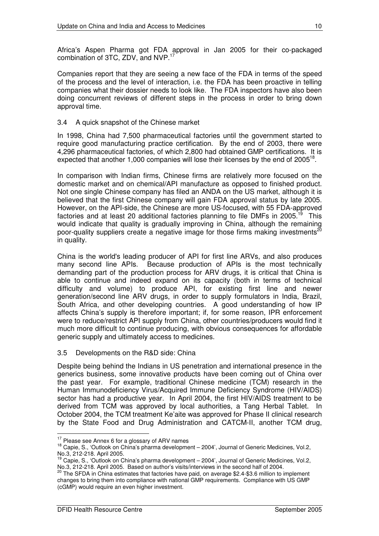Africa's Aspen Pharma got FDA approval in Jan 2005 for their co-packaged combination of 3TC, ZDV, and NVP.<sup>17</sup>

Companies report that they are seeing a new face of the FDA in terms of the speed of the process and the level of interaction, i.e. the FDA has been proactive in telling companies what their dossier needs to look like. The FDA inspectors have also been doing concurrent reviews of different steps in the process in order to bring down approval time.

#### 3.4 A quick snapshot of the Chinese market

In 1998, China had 7,500 pharmaceutical factories until the government started to require good manufacturing practice certification. By the end of 2003, there were 4,296 pharmaceutical factories, of which 2,800 had obtained GMP certifications. It is expected that another 1,000 companies will lose their licenses by the end of 2005<sup>18</sup>.

In comparison with Indian firms, Chinese firms are relatively more focused on the domestic market and on chemical/API manufacture as opposed to finished product. Not one single Chinese company has filed an ANDA on the US market, although it is believed that the first Chinese company will gain FDA approval status by late 2005. However, on the API-side, the Chinese are more US-focused, with 55 FDA-approved factories and at least 20 additional factories planning to file DMFs in 2005.<sup>19</sup> This would indicate that quality is gradually improving in China, although the remaining poor-quality suppliers create a negative image for those firms making investments<sup>20</sup> in quality.

China is the world's leading producer of API for first line ARVs, and also produces many second line APIs. Because production of APIs is the most technically demanding part of the production process for ARV drugs, it is critical that China is able to continue and indeed expand on its capacity (both in terms of technical difficulty and volume) to produce API, for existing first line and newer generation/second line ARV drugs, in order to supply formulators in India, Brazil, South Africa, and other developing countries. A good understanding of how IP affects China's supply is therefore important; if, for some reason, IPR enforcement were to reduce/restrict API supply from China, other countries/producers would find it much more difficult to continue producing, with obvious consequences for affordable generic supply and ultimately access to medicines.

#### 3.5 Developments on the R&D side: China

Despite being behind the Indians in US penetration and international presence in the generics business, some innovative products have been coming out of China over the past year. For example, traditional Chinese medicine (TCM) research in the Human Immunodeficiency Virus/Acquired Immune Deficiency Syndrome (HIV/AIDS) sector has had a productive year. In April 2004, the first HIV/AIDS treatment to be derived from TCM was approved by local authorities, a Tang Herbal Tablet. In October 2004, the TCM treatment Ke'aite was approved for Phase II clinical research by the State Food and Drug Administration and CATCM-II, another TCM drug,

 $17$  Please see Annex 6 for a glossary of ARV names

<sup>&</sup>lt;sup>18</sup> Capie, S., 'Outlook on China's pharma development – 2004', Journal of Generic Medicines, Vol.2, No.3, 212-218. April 2005.

<sup>&</sup>lt;sup>19</sup> Capie, S., 'Outlook on China's pharma development - 2004', Journal of Generic Medicines, Vol.2, No.3, 212-218. April 2005. Based on author's visits/interviews in the second half of 2004. 20

The SFDA in China estimates that factories have paid, on average \$2.4-\$3.6 million to implement changes to bring them into compliance with national GMP requirements. Compliance with US GMP (cGMP) would require an even higher investment.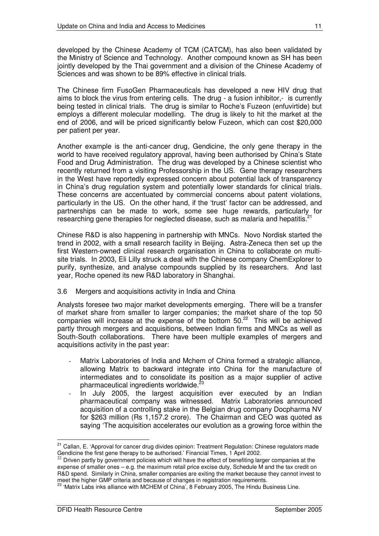developed by the Chinese Academy of TCM (CATCM), has also been validated by the Ministry of Science and Technology. Another compound known as SH has been jointly developed by the Thai government and a division of the Chinese Academy of Sciences and was shown to be 89% effective in clinical trials.

The Chinese firm FusoGen Pharmaceuticals has developed a new HIV drug that aims to block the virus from entering cells. The drug - a fusion inhibitor,- is currently being tested in clinical trials. The drug is similar to Roche's Fuzeon (enfuvirtide) but employs a different molecular modelling. The drug is likely to hit the market at the end of 2006, and will be priced significantly below Fuzeon, which can cost \$20,000 per patient per year.

Another example is the anti-cancer drug, Gendicine, the only gene therapy in the world to have received regulatory approval, having been authorised by China's State Food and Drug Administration. The drug was developed by a Chinese scientist who recently returned from a visiting Professorship in the US. Gene therapy researchers in the West have reportedly expressed concern about potential lack of transparency in China's drug regulation system and potentially lower standards for clinical trials. These concerns are accentuated by commercial concerns about patent violations, particularly in the US. On the other hand, if the 'trust' factor can be addressed, and partnerships can be made to work, some see huge rewards, particularly for researching gene therapies for neglected disease, such as malaria and hepatitis.<sup>21</sup>

Chinese R&D is also happening in partnership with MNCs. Novo Nordisk started the trend in 2002, with a small research facility in Beijing. Astra-Zeneca then set up the first Western-owned clinical research organisation in China to collaborate on multisite trials. In 2003, Eli Lilly struck a deal with the Chinese company ChemExplorer to purify, synthesize, and analyse compounds supplied by its researchers. And last year, Roche opened its new R&D laboratory in Shanghai.

#### 3.6 Mergers and acquisitions activity in India and China

Analysts foresee two major market developments emerging. There will be a transfer of market share from smaller to larger companies; the market share of the top 50 companies will increase at the expense of the bottom  $50.^{22}$  This will be achieved partly through mergers and acquisitions, between Indian firms and MNCs as well as South-South collaborations. There have been multiple examples of mergers and acquisitions activity in the past year:

- Matrix Laboratories of India and Mchem of China formed a strategic alliance, allowing Matrix to backward integrate into China for the manufacture of intermediates and to consolidate its position as a major supplier of active pharmaceutical ingredients worldwide.<sup>23</sup>
- In July 2005, the largest acquisition ever executed by an Indian pharmaceutical company was witnessed. Matrix Laboratories announced acquisition of a controlling stake in the Belgian drug company Docpharma NV for \$263 million (Rs 1,157.2 crore). The Chairman and CEO was quoted as saying 'The acquisition accelerates our evolution as a growing force within the

<sup>&</sup>lt;sup>21</sup> Callan, E. 'Approval for cancer drug divides opinion: Treatment Regulation: Chinese regulators made Gendicine the first gene therapy to be authorised.' Financial Times, 1 April 2002.

 $^{22}$  Driven partly by government policies which will have the effect of benefiting larger companies at the expense of smaller ones – e.g. the maximum retail price excise duty, Schedule M and the tax credit on R&D spend. Similarly in China, smaller companies are exiting the market because they cannot invest to

meet the higher GMP criteria and because of changes in registration requirements.<br><sup>23</sup> 'Matrix Labs inks alliance with MCHEM of China', 8 February 2005, The Hindu Business Line.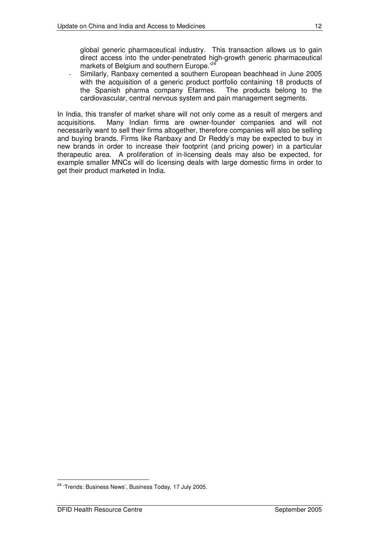global generic pharmaceutical industry. This transaction allows us to gain direct access into the under-penetrated high-growth generic pharmaceutical markets of Belgium and southern Europe.<sup>'24</sup>

- Similarly, Ranbaxy cemented a southern European beachhead in June 2005 with the acquisition of a generic product portfolio containing 18 products of the Spanish pharma company Efarmes. The products belong to the cardiovascular, central nervous system and pain management segments.

In India, this transfer of market share will not only come as a result of mergers and acquisitions. Many Indian firms are owner-founder companies and will not necessarily want to sell their firms altogether, therefore companies will also be selling and buying brands. Firms like Ranbaxy and Dr Reddy's may be expected to buy in new brands in order to increase their footprint (and pricing power) in a particular therapeutic area. A proliferation of in-licensing deals may also be expected, for example smaller MNCs will do licensing deals with large domestic firms in order to get their product marketed in India.

<sup>&</sup>lt;sup>24</sup> 'Trends: Business News', Business Today, 17 July 2005.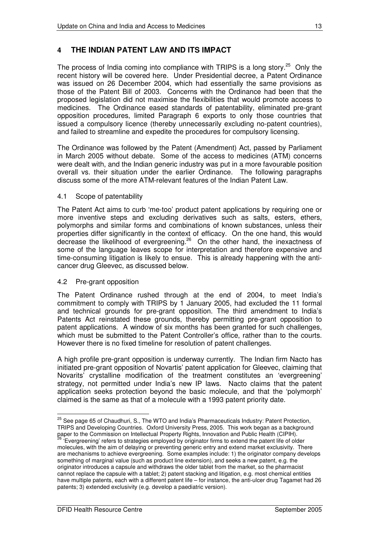## **4 THE INDIAN PATENT LAW AND ITS IMPACT**

The process of India coming into compliance with TRIPS is a long story.<sup>25</sup> Only the recent history will be covered here. Under Presidential decree, a Patent Ordinance was issued on 26 December 2004, which had essentially the same provisions as those of the Patent Bill of 2003. Concerns with the Ordinance had been that the proposed legislation did not maximise the flexibilities that would promote access to medicines. The Ordinance eased standards of patentability, eliminated pre-grant opposition procedures, limited Paragraph 6 exports to only those countries that issued a compulsory licence (thereby unnecessarily excluding no-patent countries), and failed to streamline and expedite the procedures for compulsory licensing.

The Ordinance was followed by the Patent (Amendment) Act, passed by Parliament in March 2005 without debate. Some of the access to medicines (ATM) concerns were dealt with, and the Indian generic industry was put in a more favourable position overall vs. their situation under the earlier Ordinance. The following paragraphs discuss some of the more ATM-relevant features of the Indian Patent Law.

#### 4.1 Scope of patentability

The Patent Act aims to curb 'me-too' product patent applications by requiring one or more inventive steps and excluding derivatives such as salts, esters, ethers, polymorphs and similar forms and combinations of known substances, unless their properties differ significantly in the context of efficacy. On the one hand, this would decrease the likelihood of evergreening.<sup>26</sup> On the other hand, the inexactness of some of the language leaves scope for interpretation and therefore expensive and time-consuming litigation is likely to ensue. This is already happening with the anticancer drug Gleevec, as discussed below.

#### 4.2 Pre-grant opposition

The Patent Ordinance rushed through at the end of 2004, to meet India's commitment to comply with TRIPS by 1 January 2005, had excluded the 11 formal and technical grounds for pre-grant opposition. The third amendment to India's Patents Act reinstated these grounds, thereby permitting pre-grant opposition to patent applications. A window of six months has been granted for such challenges, which must be submitted to the Patent Controller's office, rather than to the courts. However there is no fixed timeline for resolution of patent challenges.

A high profile pre-grant opposition is underway currently. The Indian firm Nacto has initiated pre-grant opposition of Novartis' patent application for Gleevec, claiming that Novarits' crystalline modification of the treatment constitutes an 'evergreening' strategy, not permitted under India's new IP laws. Nacto claims that the patent application seeks protection beyond the basic molecule, and that the 'polymorph' claimed is the same as that of a molecule with a 1993 patent priority date.

<sup>&</sup>lt;sup>25</sup> See page 65 of Chaudhuri, S., The WTO and India's Pharmaceuticals Industry: Patent Protection, TRIPS and Developing Countries. Oxford University Press, 2005. This work began as a background paper to the Commission on Intellectual Property Rights, Innovation and Public Health (CIPIH).<br><sup>26</sup> 'Everareaning' refers to etrategies ampleved by eriginater firms to extend the patent life of elc

<sup>&#</sup>x27;Evergreening' refers to strategies employed by originator firms to extend the patent life of older molecules, with the aim of delaying or preventing generic entry and extend market exclusivity. There are mechanisms to achieve evergreening. Some examples include: 1) the originator company develops something of marginal value (such as product line extension), and seeks a new patent, e.g. the originator introduces a capsule and withdraws the older tablet from the market, so the pharmacist cannot replace the capsule with a tablet; 2) patent stacking and litigation, e.g. most chemical entities have multiple patents, each with a different patent life – for instance, the anti-ulcer drug Tagamet had 26 patents; 3) extended exclusivity (e.g. develop a paediatric version).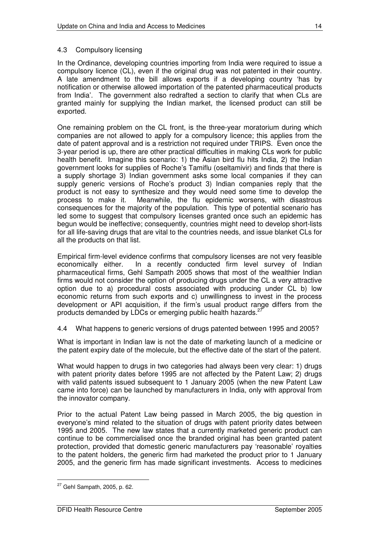#### 4.3 Compulsory licensing

In the Ordinance, developing countries importing from India were required to issue a compulsory licence (CL), even if the original drug was not patented in their country. A late amendment to the bill allows exports if a developing country 'has by notification or otherwise allowed importation of the patented pharmaceutical products from India'. The government also redrafted a section to clarify that when CLs are granted mainly for supplying the Indian market, the licensed product can still be exported.

One remaining problem on the CL front, is the three-year moratorium during which companies are not allowed to apply for a compulsory licence; this applies from the date of patent approval and is a restriction not required under TRIPS. Even once the 3-year period is up, there are other practical difficulties in making CLs work for public health benefit. Imagine this scenario: 1) the Asian bird flu hits India, 2) the Indian government looks for supplies of Roche's Tamiflu (oseltamivir) and finds that there is a supply shortage 3) Indian government asks some local companies if they can supply generic versions of Roche's product 3) Indian companies reply that the product is not easy to synthesize and they would need some time to develop the process to make it. Meanwhile, the flu epidemic worsens, with disastrous consequences for the majority of the population. This type of potential scenario has led some to suggest that compulsory licenses granted once such an epidemic has begun would be ineffective; consequently, countries might need to develop short-lists for all life-saving drugs that are vital to the countries needs, and issue blanket CLs for all the products on that list.

Empirical firm-level evidence confirms that compulsory licenses are not very feasible economically either. In a recently conducted firm level survey of Indian pharmaceutical firms, Gehl Sampath 2005 shows that most of the wealthier Indian firms would not consider the option of producing drugs under the CL a very attractive option due to a) procedural costs associated with producing under CL b) low economic returns from such exports and c) unwillingness to invest in the process development or API acquisition, if the firm's usual product range differs from the products demanded by LDCs or emerging public health hazards.<sup>27</sup>

4.4 What happens to generic versions of drugs patented between 1995 and 2005?

What is important in Indian law is not the date of marketing launch of a medicine or the patent expiry date of the molecule, but the effective date of the start of the patent.

What would happen to drugs in two categories had always been very clear: 1) drugs with patent priority dates before 1995 are not affected by the Patent Law; 2) drugs with valid patents issued subsequent to 1 January 2005 (when the new Patent Law came into force) can be launched by manufacturers in India, only with approval from the innovator company.

Prior to the actual Patent Law being passed in March 2005, the big question in everyone's mind related to the situation of drugs with patent priority dates between 1995 and 2005. The new law states that a currently marketed generic product can continue to be commercialised once the branded original has been granted patent protection, provided that domestic generic manufacturers pay 'reasonable' royalties to the patent holders, the generic firm had marketed the product prior to 1 January 2005, and the generic firm has made significant investments. Access to medicines

 $27$  Gehl Sampath, 2005, p. 62.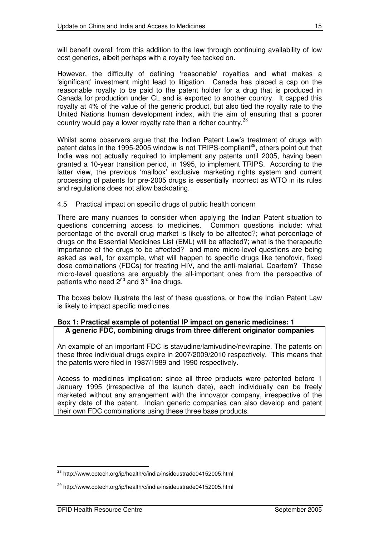will benefit overall from this addition to the law through continuing availability of low cost generics, albeit perhaps with a royalty fee tacked on.

However, the difficulty of defining 'reasonable' royalties and what makes a 'significant' investment might lead to litigation. Canada has placed a cap on the reasonable royalty to be paid to the patent holder for a drug that is produced in Canada for production under CL and is exported to another country. It capped this royalty at 4% of the value of the generic product, but also tied the royalty rate to the United Nations human development index, with the aim of ensuring that a poorer country would pay a lower royalty rate than a richer country.<sup>28</sup>

Whilst some observers argue that the Indian Patent Law's treatment of drugs with patent dates in the 1995-2005 window is not TRIPS-compliant<sup>29</sup>, others point out that India was not actually required to implement any patents until 2005, having been granted a 10-year transition period, in 1995, to implement TRIPS. According to the latter view, the previous 'mailbox' exclusive marketing rights system and current processing of patents for pre-2005 drugs is essentially incorrect as WTO in its rules and regulations does not allow backdating.

#### 4.5 Practical impact on specific drugs of public health concern

There are many nuances to consider when applying the Indian Patent situation to questions concerning access to medicines. Common questions include: what percentage of the overall drug market is likely to be affected?; what percentage of drugs on the Essential Medicines List (EML) will be affected?; what is the therapeutic importance of the drugs to be affected? and more micro-level questions are being asked as well, for example, what will happen to specific drugs like tenofovir, fixed dose combinations (FDCs) for treating HIV, and the anti-malarial, Coartem? These micro-level questions are arguably the all-important ones from the perspective of patients who need 2<sup>nd</sup> and 3<sup>rd</sup> line drugs.

The boxes below illustrate the last of these questions, or how the Indian Patent Law is likely to impact specific medicines.

#### **Box 1: Practical example of potential IP impact on generic medicines: 1 A generic FDC, combining drugs from three different originator companies**

An example of an important FDC is stavudine/lamivudine/nevirapine. The patents on these three individual drugs expire in 2007/2009/2010 respectively. This means that the patents were filed in 1987/1989 and 1990 respectively.

Access to medicines implication: since all three products were patented before 1 January 1995 (irrespective of the launch date), each individually can be freely marketed without any arrangement with the innovator company, irrespective of the expiry date of the patent. Indian generic companies can also develop and patent their own FDC combinations using these three base products.

<sup>&</sup>lt;sup>28</sup> http://www.cptech.org/ip/health/c/india/insideustrade04152005.html

<sup>&</sup>lt;sup>29</sup> http://www.cptech.org/ip/health/c/india/insideustrade04152005.html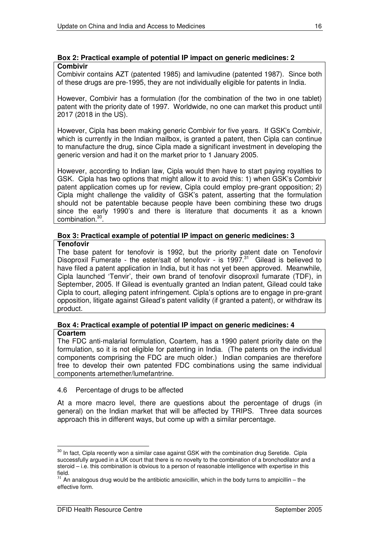#### **Box 2: Practical example of potential IP impact on generic medicines: 2 Combivir**

Combivir contains AZT (patented 1985) and lamivudine (patented 1987). Since both of these drugs are pre-1995, they are not individually eligible for patents in India.

However, Combivir has a formulation (for the combination of the two in one tablet) patent with the priority date of 1997. Worldwide, no one can market this product until 2017 (2018 in the US).

However, Cipla has been making generic Combivir for five years. If GSK's Combivir, which is currently in the Indian mailbox, is granted a patent, then Cipla can continue to manufacture the drug, since Cipla made a significant investment in developing the generic version and had it on the market prior to 1 January 2005.

However, according to Indian law, Cipla would then have to start paying royalties to GSK. Cipla has two options that might allow it to avoid this: 1) when GSK's Combivir patent application comes up for review, Cipla could employ pre-grant opposition; 2) Cipla might challenge the validity of GSK's patent, asserting that the formulation should not be patentable because people have been combining these two drugs since the early 1990's and there is literature that documents it as a known combination. 30 .

#### **Box 3: Practical example of potential IP impact on generic medicines: 3 Tenofovir**

The base patent for tenofovir is 1992, but the priority patent date on Tenofovir Disoproxil Fumerate - the ester/salt of tenofovir - is 1997.<sup>31</sup> Gilead is believed to have filed a patent application in India, but it has not yet been approved. Meanwhile, Cipla launched 'Tenvir', their own brand of tenofovir disoproxil fumarate (TDF), in September, 2005. If Gilead is eventually granted an Indian patent, Gilead could take Cipla to court, alleging patent infringement. Cipla's options are to engage in pre-grant opposition, litigate against Gilead's patent validity (if granted a patent), or withdraw its product.

#### **Box 4: Practical example of potential IP impact on generic medicines: 4 Coartem**

The FDC anti-malarial formulation, Coartem, has a 1990 patent priority date on the formulation, so it is not eligible for patenting in India. (The patents on the individual components comprising the FDC are much older.) Indian companies are therefore free to develop their own patented FDC combinations using the same individual components artemether/lumefantrine.

#### 4.6 Percentage of drugs to be affected

At a more macro level, there are questions about the percentage of drugs (in general) on the Indian market that will be affected by TRIPS. Three data sources approach this in different ways, but come up with a similar percentage.

 $30$  In fact, Cipla recently won a similar case against GSK with the combination drug Seretide. Cipla successfully argued in a UK court that there is no novelty to the combination of a bronchodilator and a steroid – i.e. this combination is obvious to a person of reasonable intelligence with expertise in this field.

 $31$  An analogous drug would be the antibiotic amoxicillin, which in the body turns to ampicillin – the effective form.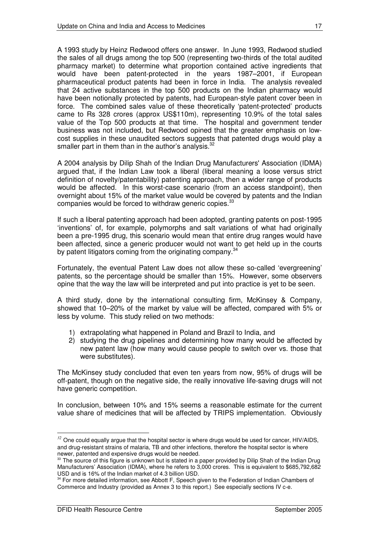A 1993 study by Heinz Redwood offers one answer. In June 1993, Redwood studied the sales of all drugs among the top 500 (representing two-thirds of the total audited pharmacy market) to determine what proportion contained active ingredients that would have been patent-protected in the years 1987–2001, if European pharmaceutical product patents had been in force in India. The analysis revealed that 24 active substances in the top 500 products on the Indian pharmacy would have been notionally protected by patents, had European-style patent cover been in force. The combined sales value of these theoretically 'patent-protected' products came to Rs 328 crores (approx US\$110m), representing 10.9% of the total sales value of the Top 500 products at that time. The hospital and government tender business was not included, but Redwood opined that the greater emphasis on lowcost supplies in these unaudited sectors suggests that patented drugs would play a smaller part in them than in the author's analysis.<sup>32</sup>

A 2004 analysis by Dilip Shah of the Indian Drug Manufacturers'Association (IDMA) argued that, if the Indian Law took a liberal (liberal meaning a loose versus strict definition of novelty/patentability) patenting approach, then a wider range of products would be affected. In this worst-case scenario (from an access standpoint), then overnight about 15% of the market value would be covered by patents and the Indian companies would be forced to withdraw generic copies.<sup>33</sup>

If such a liberal patenting approach had been adopted, granting patents on post-1995 'inventions' of, for example, polymorphs and salt variations of what had originally been a pre-1995 drug, this scenario would mean that entire drug ranges would have been affected, since a generic producer would not want to get held up in the courts by patent litigators coming from the originating company.<sup>34</sup>

Fortunately, the eventual Patent Law does not allow these so-called 'evergreening' patents, so the percentage should be smaller than 15%. However, some observers opine that the way the law will be interpreted and put into practice is yet to be seen.

A third study, done by the international consulting firm, McKinsey & Company, showed that 10–20% of the market by value will be affected, compared with 5% or less by volume. This study relied on two methods:

- 1) extrapolating what happened in Poland and Brazil to India, and
- 2) studying the drug pipelines and determining how many would be affected by new patent law (how many would cause people to switch over vs. those that were substitutes).

The McKinsey study concluded that even ten years from now, 95% of drugs will be off-patent, though on the negative side, the really innovative life-saving drugs will not have generic competition.

In conclusion, between 10% and 15% seems a reasonable estimate for the current value share of medicines that will be affected by TRIPS implementation. Obviously

<sup>&</sup>lt;sup>32</sup> One could equally argue that the hospital sector is where drugs would be used for cancer, HIV/AIDS, and drug-resistant strains of malaria, TB and other infections, therefore the hospital sector is where newer, patented and expensive drugs would be needed.

<sup>33</sup> The source of this figure is unknown but is stated in a paper provided by Dilip Shah of the Indian Drug Manufacturers' Association (IDMA), where he refers to 3,000 crores. This is equivalent to \$685,792,682 USD and is 16% of the Indian market of 4.3 billion USD.

<sup>&</sup>lt;sup>34</sup> For more detailed information, see Abbott F, Speech given to the Federation of Indian Chambers of Commerce and Industry (provided as Annex 3 to this report.) See especially sections IV c-e.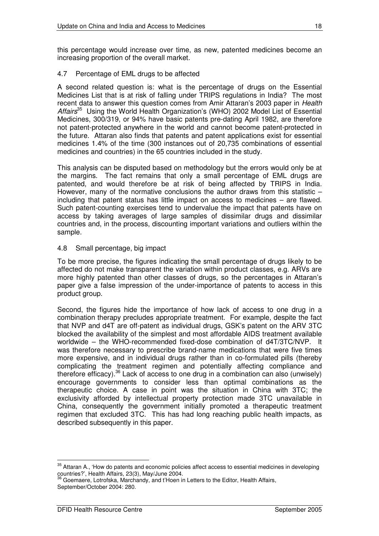this percentage would increase over time, as new, patented medicines become an increasing proportion of the overall market.

#### 4.7 Percentage of EML drugs to be affected

A second related question is: what is the percentage of drugs on the Essential Medicines List that is at risk of falling under TRIPS regulations in India? The most recent data to answer this question comes from Amir Attaran's 2003 paper in *Health Affairs* <sup>35</sup> Using the World Health Organization's (WHO) 2002 Model List of Essential Medicines, 300/319, or 94% have basic patents pre-dating April 1982, are therefore not patent-protected anywhere in the world and cannot become patent-protected in the future. Attaran also finds that patents and patent applications exist for essential medicines 1.4% of the time (300 instances out of 20,735 combinations of essential medicines and countries) in the 65 countries included in the study.

This analysis can be disputed based on methodology but the errors would only be at the margins. The fact remains that only a small percentage of EML drugs are patented, and would therefore be at risk of being affected by TRIPS in India. However, many of the normative conclusions the author draws from this statistic – including that patent status has little impact on access to medicines – are flawed. Such patent-counting exercises tend to undervalue the impact that patents have on access by taking averages of large samples of dissimilar drugs and dissimilar countries and, in the process, discounting important variations and outliers within the sample.

#### 4.8 Small percentage, big impact

To be more precise, the figures indicating the small percentage of drugs likely to be affected do not make transparent the variation within product classes, e.g. ARVs are more highly patented than other classes of drugs, so the percentages in Attaran's paper give a false impression of the under-importance of patents to access in this product group.

Second, the figures hide the importance of how lack of access to one drug in a combination therapy precludes appropriate treatment. For example, despite the fact that NVP and d4T are off-patent as individual drugs, GSK's patent on the ARV 3TC blocked the availability of the simplest and most affordable AIDS treatment available worldwide – the WHO-recommended fixed-dose combination of d4T/3TC/NVP. It was therefore necessary to prescribe brand-name medications that were five times more expensive, and in individual drugs rather than in co-formulated pills (thereby complicating the treatment regimen and potentially affecting compliance and therefore efficacy).<sup>36</sup> Lack of access to one drug in a combination can also (unwisely) encourage governments to consider less than optimal combinations as the therapeutic choice. A case in point was the situation in China with 3TC; the exclusivity afforded by intellectual property protection made 3TC unavailable in China, consequently the government initially promoted a therapeutic treatment regimen that excluded 3TC. This has had long reaching public health impacts, as described subsequently in this paper.

<sup>&</sup>lt;sup>35</sup> Attaran A., 'How do patents and economic policies affect access to essential medicines in developing countries?', Health Affairs, 23(3), May/June 2004.

Goemaere, Lotrofska, Marchandy, and t'Hoen in Letters to the Editor, Health Affairs, September/October 2004: 280.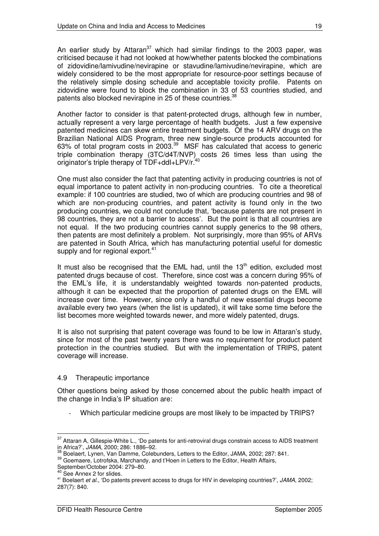An earlier study by Attaran<sup>37</sup> which had similar findings to the 2003 paper, was criticised because it had not looked at how/whether patents blocked the combinations of zidovidine/lamivudine/nevirapine or stavudine/lamivudine/nevirapine, which are widely considered to be the most appropriate for resource-poor settings because of the relatively simple dosing schedule and acceptable toxicity profile. Patents on zidovidine were found to block the combination in 33 of 53 countries studied, and patents also blocked nevirapine in 25 of these countries.<sup>38</sup>

Another factor to consider is that patent-protected drugs, although few in number, actually represent a very large percentage of health budgets. Just a few expensive patented medicines can skew entire treatment budgets. Of the 14 ARV drugs on the Brazilian National AIDS Program, three new single-source products accounted for 63% of total program costs in 2003.<sup>39</sup> MSF has calculated that access to generic triple combination therapy (3TC/d4T/NVP) costs 26 times less than using the originator's triple therapy of TDF+ddI+LPV/r.<sup>40</sup>

One must also consider the fact that patenting activity in producing countries is not of equal importance to patent activity in non-producing countries. To cite a theoretical example: if 100 countries are studied, two of which are producing countries and 98 of which are non-producing countries, and patent activity is found only in the two producing countries, we could not conclude that, 'because patents are not present in 98 countries, they are not a barrier to access'. But the point is that all countries are not equal. If the two producing countries cannot supply generics to the 98 others, then patents are most definitely a problem. Not surprisingly, more than 95% of ARVs are patented in South Africa, which has manufacturing potential useful for domestic supply and for regional export.<sup>41</sup>

It must also be recognised that the EML had, until the 13<sup>th</sup> edition, excluded most patented drugs because of cost. Therefore, since cost was a concern during 95% of the EML's life, it is understandably weighted towards non-patented products, although it can be expected that the proportion of patented drugs on the EML will increase over time. However, since only a handful of new essential drugs become available every two years (when the list is updated), it will take some time before the list becomes more weighted towards newer, and more widely patented, drugs.

It is also not surprising that patent coverage was found to be low in Attaran's study, since for most of the past twenty years there was no requirement for product patent protection in the countries studied. But with the implementation of TRIPS, patent coverage will increase.

#### 4.9 Therapeutic importance

Other questions being asked by those concerned about the public health impact of the change in India's IP situation are:

Which particular medicine groups are most likely to be impacted by TRIPS?

<sup>&</sup>lt;sup>37</sup> Attaran A, Gillespie-White L., 'Do patents for anti-retroviral drugs constrain access to AIDS treatment

in Africa?', *JAMA*, 2000; 286: 1886–92.<br><sup>38</sup> Boelaert, Lynen, Van Damme, Colebunders, Letters to the Editor, JAMA, 2002; 287: 841.

<sup>39</sup> Goemaere, Lotrofska, Marchandy, and t'Hoen in Letters to the Editor, Health Affairs,

September/October 2004: 279–80. 40 See Annex 2 for slides.

<sup>41</sup> Boelaert *et al*., 'Do patents prevent access to drugs for HIV in developing countries?', *JAMA*, 2002; 287(7): 840.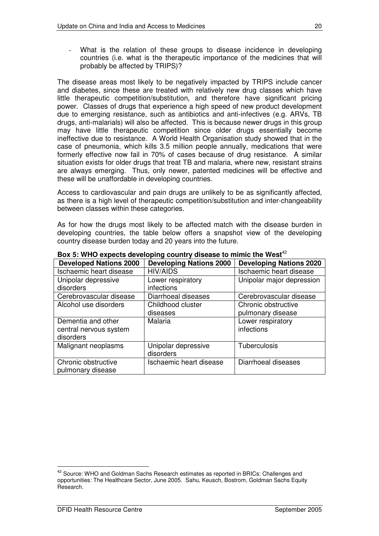What is the relation of these groups to disease incidence in developing countries (i.e. what is the therapeutic importance of the medicines that will probably be affected by TRIPS)?

The disease areas most likely to be negatively impacted by TRIPS include cancer and diabetes, since these are treated with relatively new drug classes which have little therapeutic competition/substitution, and therefore have significant pricing power. Classes of drugs that experience a high speed of new product development due to emerging resistance, such as antibiotics and anti-infectives (e.g. ARVs, TB drugs, anti-malarials) will also be affected. This is because newer drugs in this group may have little therapeutic competition since older drugs essentially become ineffective due to resistance. A World Health Organisation study showed that in the case of pneumonia, which kills 3.5 million people annually, medications that were formerly effective now fail in 70% of cases because of drug resistance. A similar situation exists for older drugs that treat TB and malaria, where new, resistant strains are always emerging. Thus, only newer, patented medicines will be effective and these will be unaffordable in developing countries.

Access to cardiovascular and pain drugs are unlikely to be as significantly affected, as there is a high level of therapeutic competition/substitution and inter-changeability between classes within these categories.

As for how the drugs most likely to be affected match with the disease burden in developing countries, the table below offers a snapshot view of the developing country disease burden today and 20 years into the future.

| <b>Developed Nations 2000</b> | <b>Developing Nations 2000</b> | <b>Developing Nations 2020</b> |
|-------------------------------|--------------------------------|--------------------------------|
| Ischaemic heart disease       | <b>HIV/AIDS</b>                | Ischaemic heart disease        |
| Unipolar depressive           | Lower respiratory              | Unipolar major depression      |
| disorders                     | infections                     |                                |
| Cerebrovascular disease       | Diarrhoeal diseases            | Cerebrovascular disease        |
| Alcohol use disorders         | Childhood cluster              | Chronic obstructive            |
|                               | diseases                       | pulmonary disease              |
| Dementia and other            | Malaria                        | Lower respiratory              |
| central nervous system        |                                | infections                     |
| disorders                     |                                |                                |
| Malignant neoplasms           | Unipolar depressive            | <b>Tuberculosis</b>            |
|                               | disorders                      |                                |
| Chronic obstructive           | Ischaemic heart disease        | Diarrhoeal diseases            |
| pulmonary disease             |                                |                                |

**Box 5: WHO expects developing country disease to mimic the West** 42

<sup>&</sup>lt;sup>42</sup> Source: WHO and Goldman Sachs Research estimates as reported in BRICs: Challenges and opportunities: The Healthcare Sector, June 2005. Sahu, Keusch, Bostrom, Goldman Sachs Equity Research.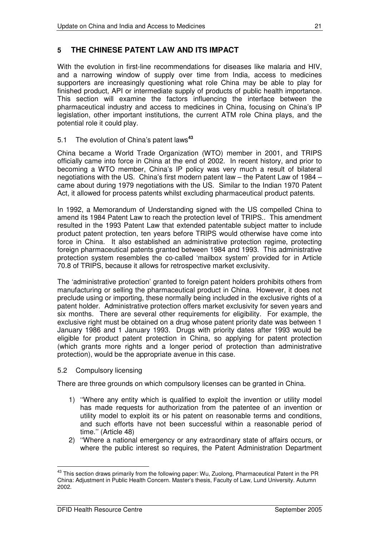## **5 THE CHINESE PATENT LAW AND ITS IMPACT**

With the evolution in first-line recommendations for diseases like malaria and HIV, and a narrowing window of supply over time from India, access to medicines supporters are increasingly questioning what role China may be able to play for finished product, API or intermediate supply of products of public health importance. This section will examine the factors influencing the interface between the pharmaceutical industry and access to medicines in China, focusing on China's IP legislation, other important institutions, the current ATM role China plays, and the potential role it could play.

#### 5.1 The evolution of China's patent laws **43**

China became a World Trade Organization (WTO) member in 2001, and TRIPS officially came into force in China at the end of 2002. In recent history, and prior to becoming a WTO member, China's IP policy was very much a result of bilateral negotiations with the US. China's first modern patent law – the Patent Law of 1984 – came about during 1979 negotiations with the US. Similar to the Indian 1970 Patent Act, it allowed for process patents whilst excluding pharmaceutical product patents.

In 1992, a Memorandum of Understanding signed with the US compelled China to amend its 1984 Patent Law to reach the protection level of TRIPS.. This amendment resulted in the 1993 Patent Law that extended patentable subject matter to include product patent protection, ten years before TRIPS would otherwise have come into force in China. It also established an administrative protection regime, protecting foreign pharmaceutical patents granted between 1984 and 1993. This administrative protection system resembles the co-called 'mailbox system' provided for in Article 70.8 of TRIPS, because it allows for retrospective market exclusivity.

The 'administrative protection' granted to foreign patent holders prohibits others from manufacturing or selling the pharmaceutical product in China. However, it does not preclude using or importing, these normally being included in the exclusive rights of a patent holder. Administrative protection offers market exclusivity for seven years and six months. There are several other requirements for eligibility. For example, the exclusive right must be obtained on a drug whose patent priority date was between 1 January 1986 and 1 January 1993. Drugs with priority dates after 1993 would be eligible for product patent protection in China, so applying for patent protection (which grants more rights and a longer period of protection than administrative protection), would be the appropriate avenue in this case.

#### 5.2 Compulsory licensing

There are three grounds on which compulsory licenses can be granted in China.

- 1) ''Where any entity which is qualified to exploit the invention or utility model has made requests for authorization from the patentee of an invention or utility model to exploit its or his patent on reasonable terms and conditions, and such efforts have not been successful within a reasonable period of time.'' (Article 48)
- 2) ''Where a national emergency or any extraordinary state of affairs occurs, or where the public interest so requires, the Patent Administration Department

<sup>&</sup>lt;sup>43</sup> This section draws primarily from the following paper: Wu, Zuolong, Pharmaceutical Patent in the PR China: Adjustment in Public Health Concern. Master's thesis, Faculty of Law, Lund University. Autumn 2002.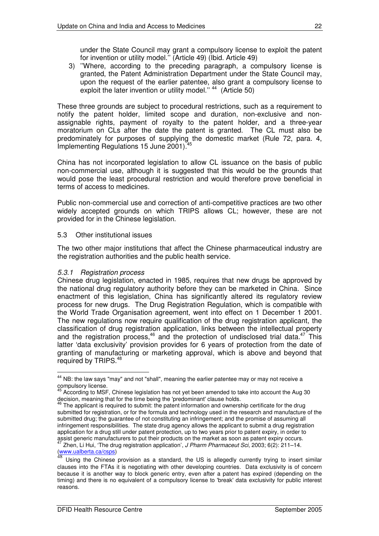under the State Council may grant a compulsory license to exploit the patent for invention or utility model.'' (Article 49) (Ibid. Article 49)

3) ''Where, according to the preceding paragraph, a compulsory license is granted, the Patent Administration Department under the State Council may, upon the request of the earlier patentee, also grant a compulsory license to exploit the later invention or utility model."<sup>44</sup> (Article 50)

These three grounds are subject to procedural restrictions, such as a requirement to notify the patent holder, limited scope and duration, non-exclusive and nonassignable rights, payment of royalty to the patent holder, and a three-year moratorium on CLs after the date the patent is granted. The CL must also be predominately for purposes of supplying the domestic market (Rule 72, para. 4, 45 Implementing Regulations 15 June 2001).

China has not incorporated legislation to allow CL issuance on the basis of public non-commercial use, although it is suggested that this would be the grounds that would pose the least procedural restriction and would therefore prove beneficial in terms of access to medicines.

Public non-commercial use and correction of anti-competitive practices are two other widely accepted grounds on which TRIPS allows CL; however, these are not provided for in the Chinese legislation.

#### 5.3 Other institutional issues

The two other major institutions that affect the Chinese pharmaceutical industry are the registration authorities and the public health service.

#### *5.3.1 Registration process*

Chinese drug legislation, enacted in 1985, requires that new drugs be approved by the national drug regulatory authority before they can be marketed in China. Since enactment of this legislation, China has significantly altered its regulatory review process for new drugs. The Drug Registration Regulation, which is compatible with the World Trade Organisation agreement, went into effect on 1 December 1 2001. The new regulations now require qualification of the drug registration applicant, the classification of drug registration application, links between the intellectual property and the registration process,  $46$  and the protection of undisclosed trial data.  $47$  This latter 'data exclusivity' provision provides for 6 years of protection from the date of granting of manufacturing or marketing approval, which is above and beyond that required by TRIPS.<sup>48</sup>

<sup>&</sup>lt;sup>44</sup> NB: the law says "may" and not "shall", meaning the earlier patentee may or may not receive a compulsory license.<br><sup>45</sup> According to MSE

According to MSF, Chinese legislation has not yet been amended to take into account the Aug 30

decision, meaning that for the time being the 'predominant' clause holds.<br><sup>46</sup> The applicant is required to submit: the patent information and ownership certificate for the drug submitted for registration, or for the formula and technology used in the research and manufacture of the submitted drug; the guarantee of not constituting an infringement; and the promise of assuming all infringement responsibilities. The state drug agency allows the applicant to submit a drug registration application for a drug still under patent protection, up to two years prior to patent expiry, in order to assist generic manufacturers to put their products on the market as soon as patent expiry occurs.<br><sup>47</sup> Zhon, Li Hui (The drug registration epplication), *LPherm Phormacout Soi 2003: 6(2): 211, 14* Zhen, Li Hui, 'The drug registration application', *J Pharm Pharmaceut Sci*, 2003; 6(2): 211–14.

<sup>(</sup>www.ualberta.ca/csps)<br><sup>48</sup> Lleins the Chinese

Using the Chinese provision as a standard, the US is allegedly currently trying to insert similar clauses into the FTAs it is negotiating with other developing countries. Data exclusivity is of concern because it is another way to block generic entry, even after a patent has expired (depending on the timing) and there is no equivalent of a compulsory license to 'break'data exclusivity for public interest reasons.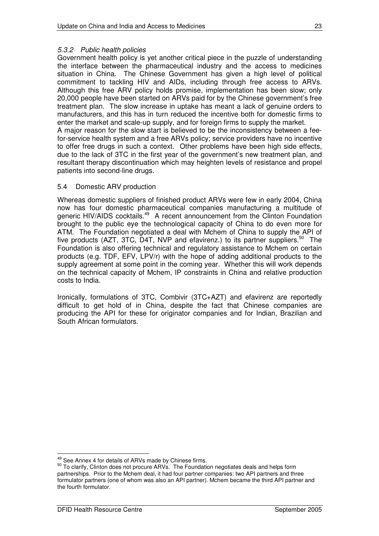#### *5.3.2 Public health policies*

Government health policy is yet another critical piece in the puzzle of understanding the interface between the pharmaceutical industry and the access to medicines situation in China. The Chinese Government has given a high level of political commitment to tackling HIV and AIDs, including through free access to ARVs. Although this free ARV policy holds promise, implementation has been slow; only 20,000 people have been started on ARVs paid for by the Chinese government's free treatment plan. The slow increase in uptake has meant a lack of genuine orders to manufacturers, and this has in turn reduced the incentive both for domestic firms to enter the market and scale-up supply, and for foreign firms to supply the market. A major reason for the slow start is believed to be the inconsistency between a fee-

for-service health system and a free ARVs policy; service providers have no incentive to offer free drugs in such a context. Other problems have been high side effects, due to the lack of 3TC in the first year of the government's new treatment plan, and resultant therapy discontinuation which may heighten levels of resistance and propel patients into second-line drugs.

#### 5.4 Domestic ARV production

Whereas domestic suppliers of finished product ARVs were few in early 2004, China now has four domestic pharmaceutical companies manufacturing a multitude of generic HIV/AIDS cocktails.<sup>49</sup> A recent announcement from the Clinton Foundation brought to the public eye the technological capacity of China to do even more for ATM. The Foundation negotiated a deal with Mchem of China to supply the API of five products (AZT, 3TC, D4T, NVP and efavirenz.) to its partner suppliers.<sup>50</sup> The Foundation is also offering technical and regulatory assistance to Mchem on certain products (e.g. TDF, EFV, LPV/r) with the hope of adding additional products to the supply agreement at some point in the coming year. Whether this will work depends on the technical capacity of Mchem, IP constraints in China and relative production costs to India.

Ironically, formulations of 3TC, Combivir (3TC+AZT) and efavirenz are reportedly difficult to get hold of in China, despite the fact that Chinese companies are producing the API for these for originator companies and for Indian, Brazilian and South African formulators.

<sup>&</sup>lt;sup>49</sup> See Annex 4 for details of ARVs made by Chinese firms.

<sup>&</sup>lt;sup>50</sup> To clarify, Clinton does not procure ARVs. The Foundation negotiates deals and helps form partnerships. Prior to the Mchem deal, it had four partner companies: two API partners and three formulator partners (one of whom was also an API partner). Mchem became the third API partner and the fourth formulator.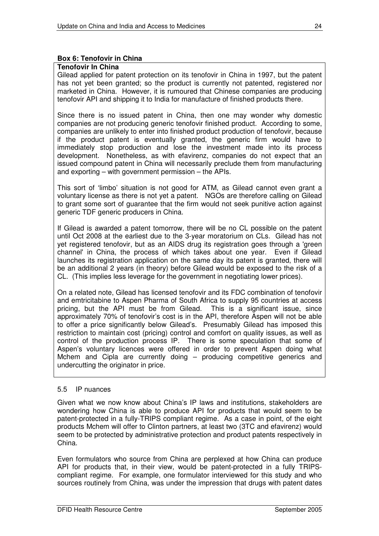#### **Box 6: Tenofovir in China**

#### **Tenofovir In China**

Gilead applied for patent protection on its tenofovir in China in 1997, but the patent has not yet been granted; so the product is currently not patented, registered nor marketed in China. However, it is rumoured that Chinese companies are producing tenofovir API and shipping it to India for manufacture of finished products there.

Since there is no issued patent in China, then one may wonder why domestic companies are not producing generic tenofovir finished product. According to some, companies are unlikely to enter into finished product production of tenofovir, because if the product patent is eventually granted, the generic firm would have to immediately stop production and lose the investment made into its process development. Nonetheless, as with efavirenz, companies do not expect that an issued compound patent in China will necessarily preclude them from manufacturing and exporting – with government permission – the APIs.

This sort of 'limbo' situation is not good for ATM, as Gilead cannot even grant a voluntary license as there is not yet a patent. NGOs are therefore calling on Gilead to grant some sort of guarantee that the firm would not seek punitive action against generic TDF generic producers in China.

If Gilead is awarded a patent tomorrow, there will be no CL possible on the patent until Oct 2008 at the earliest due to the 3-year moratorium on CLs. Gilead has not yet registered tenofovir, but as an AIDS drug its registration goes through a 'green channel'in China, the process of which takes about one year. Even if Gilead launches its registration application on the same day its patent is granted, there will be an additional 2 years (in theory) before Gilead would be exposed to the risk of a CL. (This implies less leverage for the government in negotiating lower prices).

On a related note, Gilead has licensed tenofovir and its FDC combination of tenofovir and emtricitabine to Aspen Pharma of South Africa to supply 95 countries at access pricing, but the API must be from Gilead. This is a significant issue, since approximately 70% of tenofovir's cost is in the API, therefore Aspen will not be able to offer a price significantly below Gilead's. Presumably Gilead has imposed this restriction to maintain cost (pricing) control and comfort on quality issues, as well as control of the production process IP. There is some speculation that some of Aspen's voluntary licences were offered in order to prevent Aspen doing what Mchem and Cipla are currently doing – producing competitive generics and undercutting the originator in price.

#### 5.5 IP nuances

Given what we now know about China's IP laws and institutions, stakeholders are wondering how China is able to produce API for products that would seem to be patent-protected in a fully-TRIPS compliant regime. As a case in point, of the eight products Mchem will offer to Clinton partners, at least two (3TC and efavirenz) would seem to be protected by administrative protection and product patents respectively in China.

Even formulators who source from China are perplexed at how China can produce API for products that, in their view, would be patent-protected in a fully TRIPScompliant regime. For example, one formulator interviewed for this study and who sources routinely from China, was under the impression that drugs with patent dates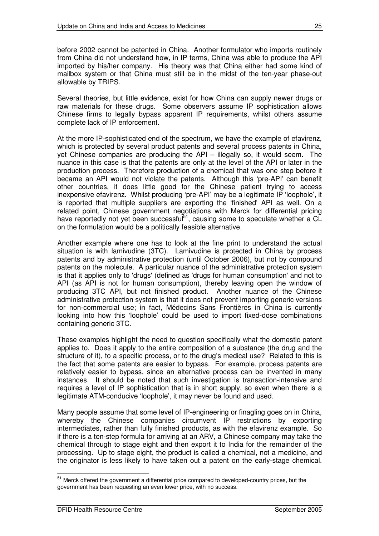before 2002 cannot be patented in China. Another formulator who imports routinely from China did not understand how, in IP terms, China was able to produce the API imported by his/her company. His theory was that China either had some kind of mailbox system or that China must still be in the midst of the ten-year phase-out allowable by TRIPS.

Several theories, but little evidence, exist for how China can supply newer drugs or raw materials for these drugs. Some observers assume IP sophistication allows Chinese firms to legally bypass apparent IP requirements, whilst others assume complete lack of IP enforcement.

At the more IP-sophisticated end of the spectrum, we have the example of efavirenz, which is protected by several product patents and several process patents in China, yet Chinese companies are producing the API – illegally so, it would seem. The nuance in this case is that the patents are only at the level of the API or later in the production process. Therefore production of a chemical that was one step before it became an API would not violate the patents. Although this 'pre-API' can benefit other countries, it does little good for the Chinese patient trying to access inexpensive efavirenz. Whilst producing 'pre-API' may be a legitimate IP 'loophole', it is reported that multiple suppliers are exporting the 'finished' API as well. On a related point, Chinese government negotiations with Merck for differential pricing have reportedly not yet been successful<sup>51</sup>, causing some to speculate whether a CL on the formulation would be a politically feasible alternative.

Another example where one has to look at the fine print to understand the actual situation is with lamivudine (3TC). Lamivudine is protected in China by process patents and by administrative protection (until October 2006), but not by compound patents on the molecule. A particular nuance of the administrative protection system is that it applies only to 'drugs' (defined as 'drugs for human consumption' and not to API (as API is not for human consumption), thereby leaving open the window of producing 3TC API, but not finished product. Another nuance of the Chinese administrative protection system is that it does not prevent importing generic versions for non-commercial use; in fact, Médecins Sans Frontières in China is currently looking into how this 'loophole' could be used to import fixed-dose combinations containing generic 3TC.

These examples highlight the need to question specifically what the domestic patent applies to. Does it apply to the entire composition of a substance (the drug and the structure of it), to a specific process, or to the drug's medical use? Related to this is the fact that some patents are easier to bypass. For example, process patents are relatively easier to bypass, since an alternative process can be invented in many instances. It should be noted that such investigation is transaction-intensive and requires a level of IP sophistication that is in short supply, so even when there is a legitimate ATM-conducive 'loophole', it may never be found and used.

Many people assume that some level of IP-engineering or finagling goes on in China, whereby the Chinese companies circumvent IP restrictions by exporting intermediates, rather than fully finished products, as with the efavirenz example. So if there is a ten-step formula for arriving at an ARV, a Chinese company may take the chemical through to stage eight and then export it to India for the remainder of the processing. Up to stage eight, the product is called a chemical, not a medicine, and the originator is less likely to have taken out a patent on the early-stage chemical.

<sup>&</sup>lt;sup>51</sup> Merck offered the government a differential price compared to developed-country prices, but the government has been requesting an even lower price, with no success.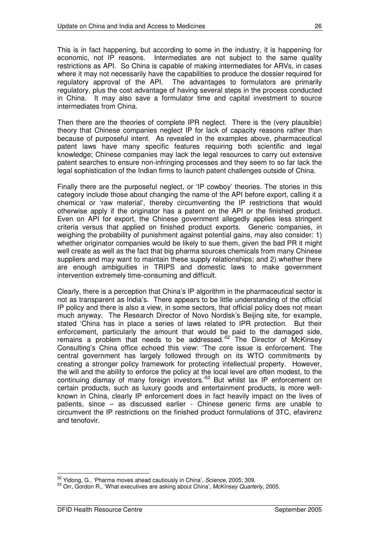This is in fact happening, but according to some in the industry, it is happening for economic, not IP reasons. Intermediates are not subject to the same quality restrictions as API. So China is capable of making intermediates for ARVs, in cases where it may not necessarily have the capabilities to produce the dossier required for regulatory approval of the API. The advantages to formulators are primarily regulatory, plus the cost advantage of having several steps in the process conducted in China. It may also save a formulator time and capital investment to source intermediates from China.

Then there are the theories of complete IPR neglect. There is the (very plausible) theory that Chinese companies neglect IP for lack of capacity reasons rather than because of purposeful intent. As revealed in the examples above, pharmaceutical patent laws have many specific features requiring both scientific and legal knowledge; Chinese companies may lack the legal resources to carry out extensive patent searches to ensure non-infringing processes and they seem to so far lack the legal sophistication of the Indian firms to launch patent challenges outside of China.

Finally there are the purposeful neglect, or 'IP cowboy' theories. The stories in this category include those about changing the name of the API before export, calling it a chemical or 'raw material', thereby circumventing the IP restrictions that would otherwise apply if the originator has a patent on the API or the finished product. Even on API for export, the Chinese government allegedly applies less stringent criteria versus that applied on finished product exports. Generic companies, in weighing the probability of punishment against potential gains, may also consider: 1) whether originator companies would be likely to sue them, given the bad PR it might well create as well as the fact that big pharma sources chemicals from many Chinese suppliers and may want to maintain these supply relationships; and 2) whether there are enough ambiguities in TRIPS and domestic laws to make government intervention extremely time-consuming and difficult.

Clearly, there is a perception that China's IP algorithm in the pharmaceutical sector is not as transparent as India's. There appears to be little understanding of the official IP policy and there is also a view, in some sectors, that official policy does not mean much anyway. The Research Director of Novo Nordisk's Beijing site, for example, stated 'China has in place a series of laws related to IPR protection. But their enforcement, particularly the amount that would be paid to the damaged side, remains a problem that needs to be addressed.'<sup>52</sup> The Director of McKinsey Consulting's China office echoed this view: 'The core issue is enforcement. The central government has largely followed through on its WTO commitments by creating a stronger policy framework for protecting intellectual property. However, the will and the ability to enforce the policy at the local level are often modest, to the continuing dismay of many foreign investors.'<sup>53</sup> But whilst lax IP enforcement on certain products, such as luxury goods and entertainment products, is more wellknown in China, clearly IP enforcement does in fact heavily impact on the lives of patients, since – as discussed earlier - Chinese generic firms are unable to circumvent the IP restrictions on the finished product formulations of 3TC, efavirenz and tenofovir.

<sup>52</sup> Yidong, G., 'Pharma moves ahead cautiously in China', *Science*, 2005; 309.

<sup>53</sup> Orr, Gordon R., 'What executives are asking about China', *McKinsey Quarterly*, 2005.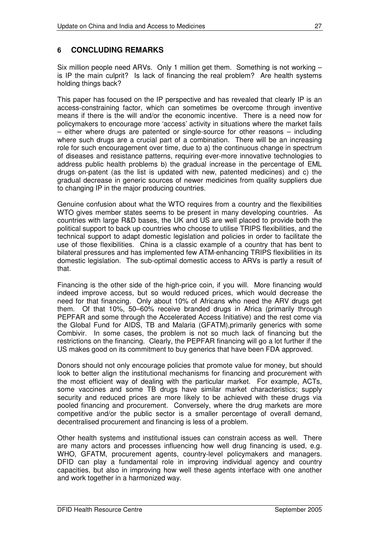## **6 CONCLUDING REMARKS**

Six million people need ARVs. Only 1 million get them. Something is not working – is IP the main culprit? Is lack of financing the real problem? Are health systems holding things back?

This paper has focused on the IP perspective and has revealed that clearly IP is an access-constraining factor, which can sometimes be overcome through inventive means if there is the will and/or the economic incentive. There is a need now for policymakers to encourage more 'access' activity in situations where the market fails – either where drugs are patented or single-source for other reasons – including where such drugs are a crucial part of a combination. There will be an increasing role for such encouragement over time, due to a) the continuous change in spectrum of diseases and resistance patterns, requiring ever-more innovative technologies to address public health problems b) the gradual increase in the percentage of EML drugs on-patent (as the list is updated with new, patented medicines) and c) the gradual decrease in generic sources of newer medicines from quality suppliers due to changing IP in the major producing countries.

Genuine confusion about what the WTO requires from a country and the flexibilities WTO gives member states seems to be present in many developing countries. As countries with large R&D bases, the UK and US are well placed to provide both the political support to back up countries who choose to utilise TRIPS flexibilities, and the technical support to adapt domestic legislation and policies in order to facilitate the use of those flexibilities. China is a classic example of a country that has bent to bilateral pressures and has implemented few ATM-enhancing TRIPS flexibilities in its domestic legislation. The sub-optimal domestic access to ARVs is partly a result of that.

Financing is the other side of the high-price coin, if you will. More financing would indeed improve access, but so would reduced prices, which would decrease the need for that financing. Only about 10% of Africans who need the ARV drugs get them. Of that 10%, 50–60% receive branded drugs in Africa (primarily through PEPFAR and some through the Accelerated Access Initiative) and the rest come via the Global Fund for AIDS, TB and Malaria (GFATM),primarily generics with some Combivir. In some cases, the problem is not so much lack of financing but the restrictions on the financing. Clearly, the PEPFAR financing will go a lot further if the US makes good on its commitment to buy generics that have been FDA approved.

Donors should not only encourage policies that promote value for money, but should look to better align the institutional mechanisms for financing and procurement with the most efficient way of dealing with the particular market. For example, ACTs, some vaccines and some TB drugs have similar market characteristics; supply security and reduced prices are more likely to be achieved with these drugs via pooled financing and procurement. Conversely, where the drug markets are more competitive and/or the public sector is a smaller percentage of overall demand, decentralised procurement and financing is less of a problem.

Other health systems and institutional issues can constrain access as well. There are many actors and processes influencing how well drug financing is used, e.g. WHO, GFATM, procurement agents, country-level policymakers and managers. DFID can play a fundamental role in improving individual agency and country capacities, but also in improving how well these agents interface with one another and work together in a harmonized way.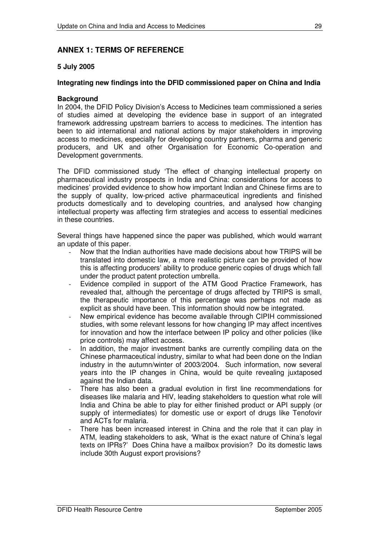### **ANNEX 1: TERMS OF REFERENCE**

#### **5 July 2005**

#### **Integrating new findings into the DFID commissioned paper on China and India**

#### **Background**

In 2004, the DFID Policy Division's Access to Medicines team commissioned a series of studies aimed at developing the evidence base in support of an integrated framework addressing upstream barriers to access to medicines. The intention has been to aid international and national actions by major stakeholders in improving access to medicines, especially for developing country partners, pharma and generic producers, and UK and other Organisation for Economic Co-operation and Development governments.

The DFID commissioned study 'The effect of changing intellectual property on pharmaceutical industry prospects in India and China: considerations for access to medicines' provided evidence to show how important Indian and Chinese firms are to the supply of quality, low-priced active pharmaceutical ingredients and finished products domestically and to developing countries, and analysed how changing intellectual property was affecting firm strategies and access to essential medicines in these countries.

Several things have happened since the paper was published, which would warrant an update of this paper.

- Now that the Indian authorities have made decisions about how TRIPS will be translated into domestic law, a more realistic picture can be provided of how this is affecting producers' ability to produce generic copies of drugs which fall under the product patent protection umbrella.
- Evidence compiled in support of the ATM Good Practice Framework, has revealed that, although the percentage of drugs affected by TRIPS is small, the therapeutic importance of this percentage was perhaps not made as explicit as should have been. This information should now be integrated.
- New empirical evidence has become available through CIPIH commissioned studies, with some relevant lessons for how changing IP may affect incentives for innovation and how the interface between IP policy and other policies (like price controls) may affect access.
- In addition, the major investment banks are currently compiling data on the Chinese pharmaceutical industry, similar to what had been done on the Indian industry in the autumn/winter of 2003/2004. Such information, now several years into the IP changes in China, would be quite revealing juxtaposed against the Indian data.
- There has also been a gradual evolution in first line recommendations for diseases like malaria and HIV, leading stakeholders to question what role will India and China be able to play for either finished product or API supply (or supply of intermediates) for domestic use or export of drugs like Tenofovir and ACTs for malaria.
- There has been increased interest in China and the role that it can play in ATM, leading stakeholders to ask, 'What is the exact nature of China's legal texts on IPRs?' Does China have a mailbox provision? Do its domestic laws include 30th August export provisions?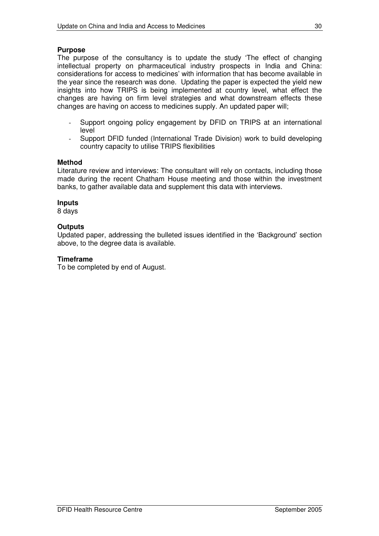#### **Purpose**

The purpose of the consultancy is to update the study 'The effect of changing intellectual property on pharmaceutical industry prospects in India and China: considerations for access to medicines' with information that has become available in the year since the research was done. Updating the paper is expected the yield new insights into how TRIPS is being implemented at country level, what effect the changes are having on firm level strategies and what downstream effects these changes are having on access to medicines supply. An updated paper will;

- Support ongoing policy engagement by DFID on TRIPS at an international level
- Support DFID funded (International Trade Division) work to build developing country capacity to utilise TRIPS flexibilities

#### **Method**

Literature review and interviews: The consultant will rely on contacts, including those made during the recent Chatham House meeting and those within the investment banks, to gather available data and supplement this data with interviews.

#### **Inputs**

8 days

#### **Outputs**

Updated paper, addressing the bulleted issues identified in the 'Background' section above, to the degree data is available.

#### **Timeframe**

To be completed by end of August.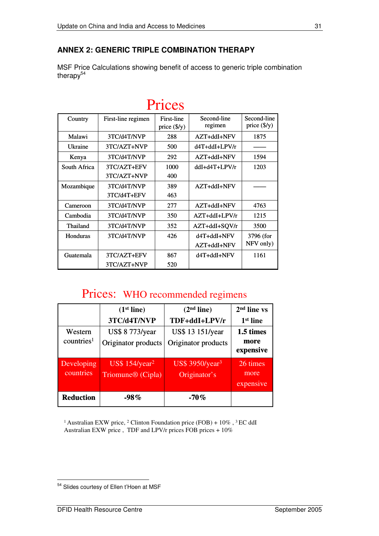## **ANNEX 2: GENERIC TRIPLE COMBINATION THERAPY**

MSF Price Calculations showing benefit of access to generic triple combination therapy<sup>54</sup>

| 111000       |                    |                                     |                        |                                      |  |  |  |
|--------------|--------------------|-------------------------------------|------------------------|--------------------------------------|--|--|--|
| Country      | First-line regimen | First-line<br>price $(\frac{5}{y})$ | Second-line<br>regimen | Second-line<br>price $(\frac{5}{y})$ |  |  |  |
| Malawi       | 3TC/d4T/NVP        | 288                                 | AZT+ddI+NFV            | 1875                                 |  |  |  |
| Ukraine      | 3TC/AZT+NVP        | 500                                 | d4T+ddI+LPV/r          |                                      |  |  |  |
| Kenya        | 3TC/d4T/NVP        | 292                                 | AZT+ddI+NFV            | 1594                                 |  |  |  |
| South Africa | 3TC/AZT+EFV        | 1000                                | ddI+d4T+LPV/r          | 1203                                 |  |  |  |
|              | 3TC/AZT+NVP        | 400                                 |                        |                                      |  |  |  |
| Mozambique   | 3TC/d4T/NVP        | 389                                 | AZT+ddI+NFV            |                                      |  |  |  |
|              | 3TC/d4T+EFV        | 463                                 |                        |                                      |  |  |  |
| Cameroon     | 3TC/d4T/NVP        | 277                                 | AZT+ddI+NFV            | 4763                                 |  |  |  |
| Cambodia     | 3TC/d4T/NVP        | 350                                 | $AZT + ddI + LPV/r$    | 1215                                 |  |  |  |
| Thailand     | 3TC/d4T/NVP        | 352                                 | AZT+ddI+SQV/r          | 3500                                 |  |  |  |
| Honduras     | 3TC/d4T/NVP        | 426                                 | d4T+ddI+NFV            | 3796 (for                            |  |  |  |
|              |                    |                                     | AZT+ddI+NFV            | NFV only)                            |  |  |  |
| Guatemala    | 3TC/AZT+EFV        | 867                                 | d4T+ddI+NFV            | 1161                                 |  |  |  |
|              | 3TC/AZT+NVP        | 520                                 |                        |                                      |  |  |  |

# $Diricec$

## Prices: WHO recommended regimens

|                         | (1 <sup>st</sup> line)                                         | (2 <sup>nd</sup> line)                         | 2 <sup>nd</sup> line vs       |  |
|-------------------------|----------------------------------------------------------------|------------------------------------------------|-------------------------------|--|
|                         | 3TC/d4T/NVP                                                    | TDF+ddI+LPV/r                                  | 1 <sup>st</sup> line          |  |
| Western                 | <b>US\$ 8 773/year</b>                                         | US\$ 13 151/year                               | 1.5 times                     |  |
| countries <sup>1</sup>  | Originator products                                            | Originator products                            | more<br>expensive             |  |
| Developing<br>countries | US\$ $154$ /year <sup>2</sup><br>Triomune <sup>®</sup> (Cipla) | US\$ $3950$ /year <sup>3</sup><br>Originator's | 26 times<br>more<br>expensive |  |
| <b>Reduction</b>        | $-98%$                                                         | $-70%$                                         |                               |  |

<sup>1</sup> Australian EXW price, <sup>2</sup> Clinton Foundation price (FOB) +  $10\%$ , <sup>3</sup> EC ddI Australian EXW price , TDF and LPV/r prices FOB prices + 10%

<sup>&</sup>lt;sup>54</sup> Slides courtesy of Ellen t'Hoen at MSF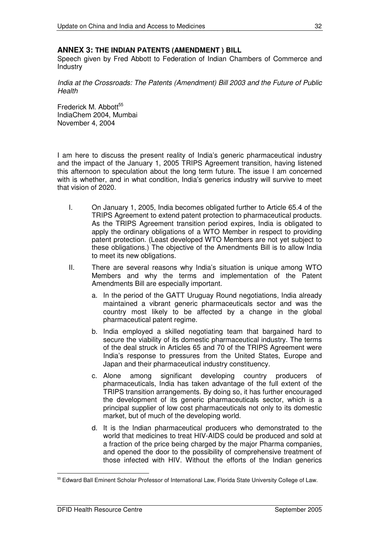#### **ANNEX 3: THE INDIAN PATENTS (AMENDMENT ) BILL**

Speech given by Fred Abbott to Federation of Indian Chambers of Commerce and Industry

*India at the Crossroads: The Patents (Amendment) Bill 2003 and the Future of Public Health*

Frederick M. Abbott<sup>55</sup> IndiaChem 2004, Mumbai November 4, 2004

I am here to discuss the present reality of India's generic pharmaceutical industry and the impact of the January 1, 2005 TRIPS Agreement transition, having listened this afternoon to speculation about the long term future. The issue I am concerned with is whether, and in what condition, India's generics industry will survive to meet that vision of 2020.

- I. On January 1, 2005, India becomes obligated further to Article 65.4 of the TRIPS Agreement to extend patent protection to pharmaceutical products. As the TRIPS Agreement transition period expires, India is obligated to apply the ordinary obligations of a WTO Member in respect to providing patent protection. (Least developed WTO Members are not yet subject to these obligations.) The objective of the Amendments Bill is to allow India to meet its new obligations.
- II. There are several reasons why India's situation is unique among WTO Members and why the terms and implementation of the Patent Amendments Bill are especially important.
	- a. In the period of the GATT Uruguay Round negotiations, India already maintained a vibrant generic pharmaceuticals sector and was the country most likely to be affected by a change in the global pharmaceutical patent regime.
	- b. India employed a skilled negotiating team that bargained hard to secure the viability of its domestic pharmaceutical industry. The terms of the deal struck in Articles 65 and 70 of the TRIPS Agreement were India's response to pressures from the United States, Europe and Japan and their pharmaceutical industry constituency.
	- c. Alone among significant developing country producers of pharmaceuticals, India has taken advantage of the full extent of the TRIPS transition arrangements. By doing so, it has further encouraged the development of its generic pharmaceuticals sector, which is a principal supplier of low cost pharmaceuticals not only to its domestic market, but of much of the developing world.
	- d. It is the Indian pharmaceutical producers who demonstrated to the world that medicines to treat HIV-AIDS could be produced and sold at a fraction of the price being charged by the major Pharma companies, and opened the door to the possibility of comprehensive treatment of those infected with HIV. Without the efforts of the Indian generics

<sup>55</sup> Edward Ball Eminent Scholar Professor of International Law, Florida State University College of Law.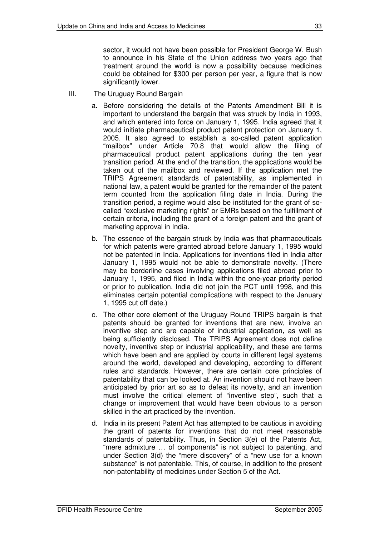sector, it would not have been possible for President George W. Bush to announce in his State of the Union address two years ago that treatment around the world is now a possibility because medicines could be obtained for \$300 per person per year, a figure that is now significantly lower.

- III. The Uruguay Round Bargain
	- a. Before considering the details of the Patents Amendment Bill it is important to understand the bargain that was struck by India in 1993, and which entered into force on January 1, 1995. India agreed that it would initiate pharmaceutical product patent protection on January 1, 2005. It also agreed to establish a so-called patent application "mailbox" under Article 70.8 that would allow the filing of pharmaceutical product patent applications during the ten year transition period. At the end of the transition, the applications would be taken out of the mailbox and reviewed. If the application met the TRIPS Agreement standards of patentability, as implemented in national law, a patent would be granted for the remainder of the patent term counted from the application filing date in India. During the transition period, a regime would also be instituted for the grant of socalled "exclusive marketing rights" or EMRs based on the fulfillment of certain criteria, including the grant of a foreign patent and the grant of marketing approval in India.
	- b. The essence of the bargain struck by India was that pharmaceuticals for which patents were granted abroad before January 1, 1995 would not be patented in India. Applications for inventions filed in India after January 1, 1995 would not be able to demonstrate novelty. (There may be borderline cases involving applications filed abroad prior to January 1, 1995, and filed in India within the one-year priority period or prior to publication. India did not join the PCT until 1998, and this eliminates certain potential complications with respect to the January 1, 1995 cut off date.)
	- c. The other core element of the Uruguay Round TRIPS bargain is that patents should be granted for inventions that are new, involve an inventive step and are capable of industrial application, as well as being sufficiently disclosed. The TRIPS Agreement does not define novelty, inventive step or industrial applicability, and these are terms which have been and are applied by courts in different legal systems around the world, developed and developing, according to different rules and standards. However, there are certain core principles of patentability that can be looked at. An invention should not have been anticipated by prior art so as to defeat its novelty, and an invention must involve the critical element of "inventive step", such that a change or improvement that would have been obvious to a person skilled in the art practiced by the invention.
	- d. India in its present Patent Act has attempted to be cautious in avoiding the grant of patents for inventions that do not meet reasonable standards of patentability. Thus, in Section 3(e) of the Patents Act, "mere admixture … of components" is not subject to patenting, and under Section 3(d) the "mere discovery" of a "new use for a known substance" is not patentable. This, of course, in addition to the present non-patentability of medicines under Section 5 of the Act.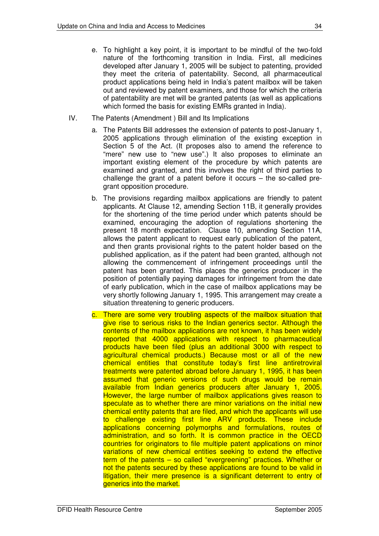- e. To highlight a key point, it is important to be mindful of the two-fold nature of the forthcoming transition in India. First, all medicines developed after January 1, 2005 will be subject to patenting, provided they meet the criteria of patentability. Second, all pharmaceutical product applications being held in India's patent mailbox will be taken out and reviewed by patent examiners, and those for which the criteria of patentability are met will be granted patents (as well as applications which formed the basis for existing EMRs granted in India).
- IV. The Patents (Amendment ) Bill and Its Implications
	- a. The Patents Bill addresses the extension of patents to post-January 1, 2005 applications through elimination of the existing exception in Section 5 of the Act. (It proposes also to amend the reference to "mere" new use to "new use".) It also proposes to eliminate an important existing element of the procedure by which patents are examined and granted, and this involves the right of third parties to challenge the grant of a patent before it occurs – the so-called pregrant opposition procedure.
	- b. The provisions regarding mailbox applications are friendly to patent applicants. At Clause 12, amending Section 11B, it generally provides for the shortening of the time period under which patents should be examined, encouraging the adoption of regulations shortening the present 18 month expectation. Clause 10, amending Section 11A, allows the patent applicant to request early publication of the patent, and then grants provisional rights to the patent holder based on the published application, as if the patent had been granted, although not allowing the commencement of infringement proceedings until the patent has been granted. This places the generics producer in the position of potentially paying damages for infringement from the date of early publication, which in the case of mailbox applications may be very shortly following January 1, 1995. This arrangement may create a situation threatening to generic producers.
	- c. There are some very troubling aspects of the mailbox situation that give rise to serious risks to the Indian generics sector. Although the contents of the mailbox applications are not known, it has been widely reported that 4000 applications with respect to pharmaceutical products have been filed (plus an additional 3000 with respect to agricultural chemical products.) Because most or all of the new chemical entities that constitute today's first line antiretroviral treatments were patented abroad before January 1, 1995, it has been assumed that generic versions of such drugs would be remain available from Indian generics producers after January 1, 2005. However, the large number of mailbox applications gives reason to speculate as to whether there are minor variations on the initial new chemical entity patents that are filed, and which the applicants will use to challenge existing first line ARV products. These include applications concerning polymorphs and formulations, routes of administration, and so forth. It is common practice in the OECD countries for originators to file multiple patent applications on minor variations of new chemical entities seeking to extend the effective term of the patents – so called "evergreening" practices. Whether or not the patents secured by these applications are found to be valid in litigation, their mere presence is a significant deterrent to entry of generics into the market.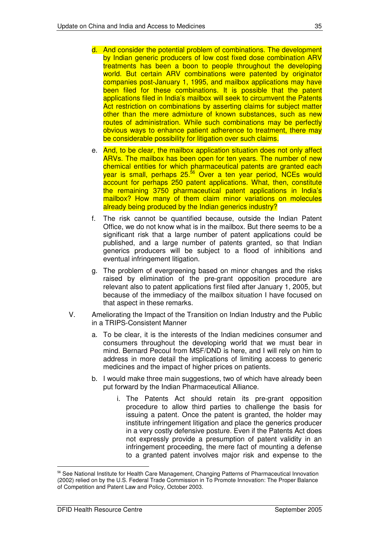- d. And consider the potential problem of combinations. The development by Indian generic producers of low cost fixed dose combination ARV treatments has been a boon to people throughout the developing world. But certain ARV combinations were patented by originator companies post-January 1, 1995, and mailbox applications may have been filed for these combinations. It is possible that the patent applications filed in India's mailbox will seek to circumvent the Patents Act restriction on combinations by asserting claims for subject matter other than the mere admixture of known substances, such as new routes of administration. While such combinations may be perfectly obvious ways to enhance patient adherence to treatment, there may be considerable possibility for litigation over such claims.
- e. And, to be clear, the mailbox application situation does not only affect ARVs. The mailbox has been open for ten years. The number of new chemical entities for which pharmaceutical patents are granted each year is small, perhaps 25.<sup>56</sup> Over a ten year period, NCEs would account for perhaps 250 patent applications. What, then, constitute the remaining 3750 pharmaceutical patent applications in India's mailbox? How many of them claim minor variations on molecules already being produced by the Indian generics industry?
- f. The risk cannot be quantified because, outside the Indian Patent Office, we do not know what is in the mailbox. But there seems to be a significant risk that a large number of patent applications could be published, and a large number of patents granted, so that Indian generics producers will be subject to a flood of inhibitions and eventual infringement litigation.
- g. The problem of evergreening based on minor changes and the risks raised by elimination of the pre-grant opposition procedure are relevant also to patent applications first filed after January 1, 2005, but because of the immediacy of the mailbox situation I have focused on that aspect in these remarks.
- V. Ameliorating the Impact of the Transition on Indian Industry and the Public in a TRIPS-Consistent Manner
	- a. To be clear, it is the interests of the Indian medicines consumer and consumers throughout the developing world that we must bear in mind. Bernard Pecoul from MSF/DND is here, and I will rely on him to address in more detail the implications of limiting access to generic medicines and the impact of higher prices on patients.
	- b. I would make three main suggestions, two of which have already been put forward by the Indian Pharmaceutical Alliance.
		- i. The Patents Act should retain its pre-grant opposition procedure to allow third parties to challenge the basis for issuing a patent. Once the patent is granted, the holder may institute infringement litigation and place the generics producer in a very costly defensive posture. Even if the Patents Act does not expressly provide a presumption of patent validity in an infringement proceeding, the mere fact of mounting a defense to a granted patent involves major risk and expense to the

<sup>56</sup> See National Institute for Health Care Management, Changing Patterns of Pharmaceutical Innovation (2002) relied on by the U.S. Federal Trade Commission in To Promote Innovation: The Proper Balance of Competition and Patent Law and Policy, October 2003.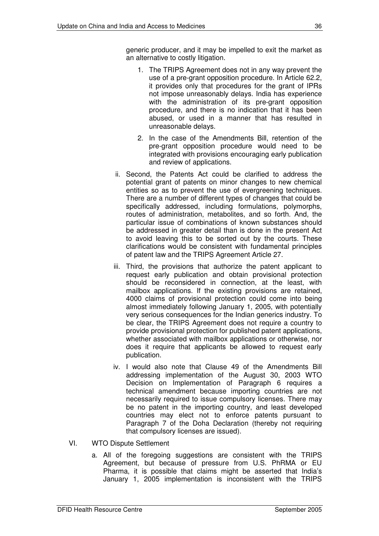generic producer, and it may be impelled to exit the market as an alternative to costly litigation.

- 1. The TRIPS Agreement does not in any way prevent the use of a pre-grant opposition procedure. In Article 62.2, it provides only that procedures for the grant of IPRs not impose unreasonably delays. India has experience with the administration of its pre-grant opposition procedure, and there is no indication that it has been abused, or used in a manner that has resulted in unreasonable delays.
- 2. In the case of the Amendments Bill, retention of the pre-grant opposition procedure would need to be integrated with provisions encouraging early publication and review of applications.
- ii. Second, the Patents Act could be clarified to address the potential grant of patents on minor changes to new chemical entities so as to prevent the use of evergreening techniques. There are a number of different types of changes that could be specifically addressed, including formulations, polymorphs, routes of administration, metabolites, and so forth. And, the particular issue of combinations of known substances should be addressed in greater detail than is done in the present Act to avoid leaving this to be sorted out by the courts. These clarifications would be consistent with fundamental principles of patent law and the TRIPS Agreement Article 27.
- iii. Third, the provisions that authorize the patent applicant to request early publication and obtain provisional protection should be reconsidered in connection, at the least, with mailbox applications. If the existing provisions are retained, 4000 claims of provisional protection could come into being almost immediately following January 1, 2005, with potentially very serious consequences for the Indian generics industry. To be clear, the TRIPS Agreement does not require a country to provide provisional protection for published patent applications, whether associated with mailbox applications or otherwise, nor does it require that applicants be allowed to request early publication.
- iv. I would also note that Clause 49 of the Amendments Bill addressing implementation of the August 30, 2003 WTO Decision on Implementation of Paragraph 6 requires a technical amendment because importing countries are not necessarily required to issue compulsory licenses. There may be no patent in the importing country, and least developed countries may elect not to enforce patents pursuant to Paragraph 7 of the Doha Declaration (thereby not requiring that compulsory licenses are issued).
- VI. WTO Dispute Settlement
	- a. All of the foregoing suggestions are consistent with the TRIPS Agreement, but because of pressure from U.S. PhRMA or EU Pharma, it is possible that claims might be asserted that India's January 1, 2005 implementation is inconsistent with the TRIPS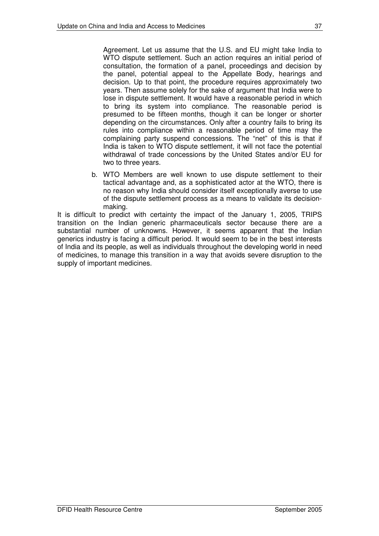Agreement. Let us assume that the U.S. and EU might take India to WTO dispute settlement. Such an action requires an initial period of consultation, the formation of a panel, proceedings and decision by the panel, potential appeal to the Appellate Body, hearings and decision. Up to that point, the procedure requires approximately two years. Then assume solely for the sake of argument that India were to lose in dispute settlement. It would have a reasonable period in which to bring its system into compliance. The reasonable period is presumed to be fifteen months, though it can be longer or shorter depending on the circumstances. Only after a country fails to bring its rules into compliance within a reasonable period of time may the complaining party suspend concessions. The "net" of this is that if India is taken to WTO dispute settlement, it will not face the potential withdrawal of trade concessions by the United States and/or EU for two to three years.

b. WTO Members are well known to use dispute settlement to their tactical advantage and, as a sophisticated actor at the WTO, there is no reason why India should consider itself exceptionally averse to use of the dispute settlement process as a means to validate its decisionmaking.

It is difficult to predict with certainty the impact of the January 1, 2005, TRIPS transition on the Indian generic pharmaceuticals sector because there are a substantial number of unknowns. However, it seems apparent that the Indian generics industry is facing a difficult period. It would seem to be in the best interests of India and its people, as well as individuals throughout the developing world in need of medicines, to manage this transition in a way that avoids severe disruption to the supply of important medicines.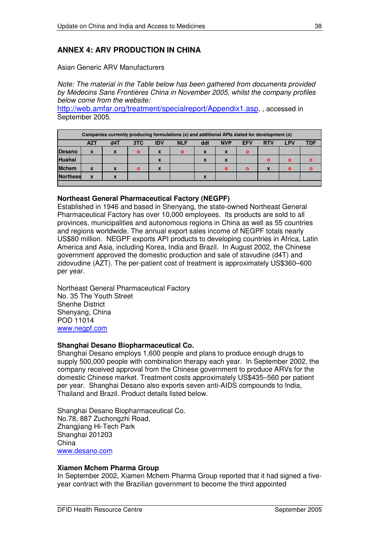## **ANNEX 4: ARV PRODUCTION IN CHINA**

Asian Generic ARV Manufacturers

*Note: The material in the Table below has been gathered from documents provided by Médecins Sans Frontières China in November 2005, whilst the company profiles below come from the website:*

http://web.amfar.org/treatment/specialreport/Appendix1.asp. , accessed in September 2005.

| Companies currently producing formulations (x) and additional APIs slated for development (o) |            |             |              |             |              |                  |                  |              |              |              |              |
|-----------------------------------------------------------------------------------------------|------------|-------------|--------------|-------------|--------------|------------------|------------------|--------------|--------------|--------------|--------------|
|                                                                                               | <b>AZT</b> | d4T         | 3TC          | <b>IDV</b>  | <b>NLF</b>   | ddl              | <b>NVP</b>       | <b>EFV</b>   | <b>RTV</b>   | LPV          | <b>TDF</b>   |
| <b>Desano</b>                                                                                 | X          | $\mathbf x$ | $\mathbf{o}$ | $\mathbf x$ | $\mathbf{o}$ | $\mathbf{x}$     | $\boldsymbol{x}$ | $\mathbf{o}$ |              |              |              |
| <b>Huahai</b>                                                                                 |            |             |              | X           |              | $\boldsymbol{x}$ | X                |              | $\mathbf{o}$ | $\mathbf{o}$ | $\mathbf{o}$ |
| <b>Mchem</b>                                                                                  | X          | X           | $\mathbf{o}$ | X           |              |                  | $\Omega$         | $\Omega$     | X            | $\mathbf{o}$ | $\mathbf{o}$ |
| <b>Northeas</b>                                                                               | X          | X           |              |             |              | X                |                  |              |              |              |              |
|                                                                                               |            |             |              |             |              |                  |                  |              |              |              |              |

#### **Northeast General Pharmaceutical Factory (NEGPF)**

Established in 1946 and based in Shenyang, the state-owned Northeast General Pharmaceutical Factory has over 10,000 employees. Its products are sold to all provinces, municipalities and autonomous regions in China as well as 55 countries and regions worldwide. The annual export sales income of NEGPF totals nearly US\$80 million. NEGPF exports API products to developing countries in Africa, Latin America and Asia, including Korea, India and Brazil. In August 2002, the Chinese government approved the domestic production and sale of stavudine (d4T) and zidovudine (AZT). The per-patient cost of treatment is approximately US\$360–600 per year.

Northeast General Pharmaceutical Factory No. 35 The Youth Street Shenhe District Shenyang, China POD 11014 www.negpf.com

#### **Shanghai Desano Biopharmaceutical Co.**

Shanghai Desano employs 1,600 people and plans to produce enough drugs to supply 500,000 people with combination therapy each year. In September 2002, the company received approval from the Chinese government to produce ARVs for the domestic Chinese market. Treatment costs approximately US\$435–560 per patient per year. Shanghai Desano also exports seven anti-AIDS compounds to India, Thailand and Brazil. Product details listed below.

Shanghai Desano Biopharmaceutical Co. No.78, 887 Zuchongzhi Road, Zhangjiang Hi-Tech Park Shanghai 201203 China www.desano.com

#### **Xiamen Mchem Pharma Group**

In September 2002, Xiamen Mchem Pharma Group reported that it had signed a fiveyear contract with the Brazilian government to become the third appointed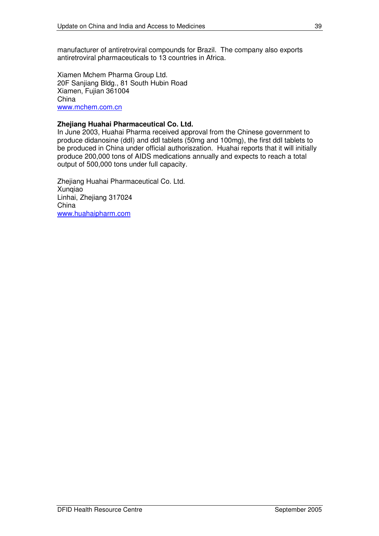manufacturer of antiretroviral compounds for Brazil. The company also exports antiretroviral pharmaceuticals to 13 countries in Africa.

Xiamen Mchem Pharma Group Ltd. 20F Sanjiang Bldg., 81 South Hubin Road Xiamen, Fujian 361004 China www.mchem.com.cn

#### **Zhejiang Huahai Pharmaceutical Co. Ltd.**

In June 2003, Huahai Pharma received approval from the Chinese government to produce didanosine (ddI) and ddI tablets (50mg and 100mg), the first ddI tablets to be produced in China under official authoriszation. Huahai reports that it will initially produce 200,000 tons of AIDS medications annually and expects to reach a total output of 500,000 tons under full capacity.

Zhejiang Huahai Pharmaceutical Co. Ltd. Xunqiao Linhai, Zhejiang 317024 China www.huahaipharm.com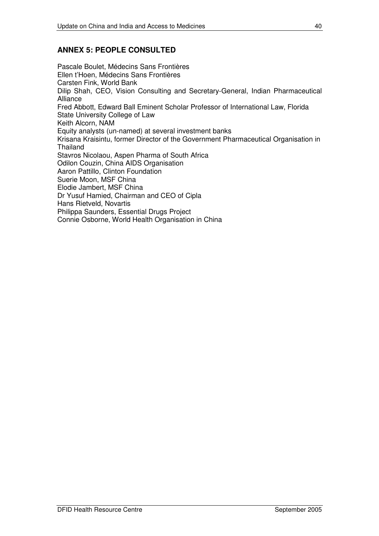## **ANNEX 5: PEOPLE CONSULTED**

Pascale Boulet, Médecins Sans Frontières Ellen t'Hoen, Médecins Sans Frontières Carsten Fink, World Bank Dilip Shah, CEO, Vision Consulting and Secretary-General, Indian Pharmaceutical Alliance Fred Abbott, Edward Ball Eminent Scholar Professor of International Law, Florida State University College of Law Keith Alcorn, NAM Equity analysts (un-named) at several investment banks Krisana Kraisintu, former Director of the Government Pharmaceutical Organisation in Thailand Stavros Nicolaou, Aspen Pharma of South Africa Odilon Couzin, China AIDS Organisation Aaron Pattillo, Clinton Foundation Suerie Moon, MSF China Elodie Jambert, MSF China Dr Yusuf Hamied, Chairman and CEO of Cipla Hans Rietveld, Novartis Philippa Saunders, Essential Drugs Project Connie Osborne, World Health Organisation in China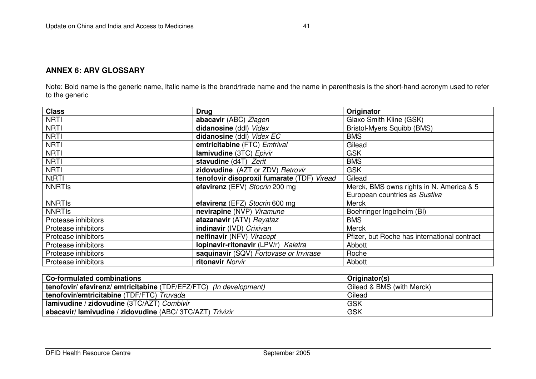Note: Bold name is the generic name, Italic name is the brand/trade name and the name in parenthesis is the short-hand acronym used to refer to the generic

| <b>Class</b>        | <b>Drug</b>                                | Originator                                   |
|---------------------|--------------------------------------------|----------------------------------------------|
| <b>NRTI</b>         | abacavir (ABC) Ziagen                      | Glaxo Smith Kline (GSK)                      |
| <b>NRTI</b>         | didanosine (ddl) Videx                     | <b>Bristol-Myers Squibb (BMS)</b>            |
| <b>NRTI</b>         | didanosine (ddl) Videx EC                  | <b>BMS</b>                                   |
| <b>NRTI</b>         | emtricitabine (FTC) Emtrival               | Gilead                                       |
| <b>NRTI</b>         | lamivudine (3TC) Epivir                    | <b>GSK</b>                                   |
| <b>NRTI</b>         | stavudine (d4T) Zerit                      | <b>BMS</b>                                   |
| <b>NRTI</b>         | zidovudine (AZT or ZDV) Retrovir           | <b>GSK</b>                                   |
| <b>NtRTI</b>        | tenofovir disoproxil fumarate (TDF) Viread | Gilead                                       |
| <b>NNRTIS</b>       | efavirenz (EFV) Stocrin 200 mg             | Merck, BMS owns rights in N. America & 5     |
|                     |                                            | European countries as Sustiva                |
| <b>NNRTIS</b>       | efavirenz (EFZ) Stocrin 600 mg             | <b>Merck</b>                                 |
| <b>NNRTIS</b>       | nevirapine (NVP) Viramune                  | Boehringer Ingelheim (BI)                    |
| Protease inhibitors | atazanavir (ATV) Reyataz                   | <b>BMS</b>                                   |
| Protease inhibitors | indinavir (IVD) Crixivan                   | <b>Merck</b>                                 |
| Protease inhibitors | nelfinavir (NFV) Viracept                  | Pfizer, but Roche has international contract |
| Protease inhibitors | Iopinavir-ritonavir (LPV/r) Kaletra        | Abbott                                       |
| Protease inhibitors | saquinavir (SQV) Fortovase or Invirase     | Roche                                        |
| Protease inhibitors | ritonavir Norvir                           | Abbott                                       |

| Co-formulated combinations                                                | Originator(s)             |
|---------------------------------------------------------------------------|---------------------------|
| <b>tenofovir/ efavirenz/ emtricitabine (TDF/EFZ/FTC)</b> (In development) | Gilead & BMS (with Merck) |
| tenofovir/emtricitabine (TDF/FTC) Truvada                                 | Gilead                    |
| lamivudine / zidovudine (3TC/AZT) Combivir                                | <b>GSK</b>                |
| abacavir/lamivudine / zidovudine (ABC/ 3TC/AZT) Trivizir                  | <b>GSK</b>                |